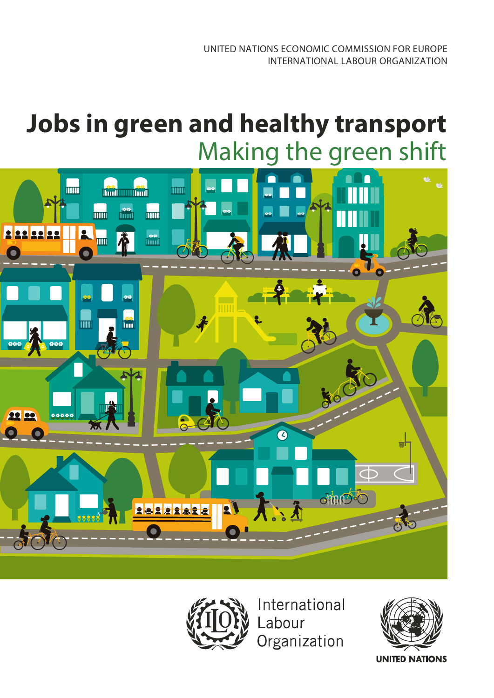# **Jobs in green and healthy transport** Making the green shift





International Labour Organization

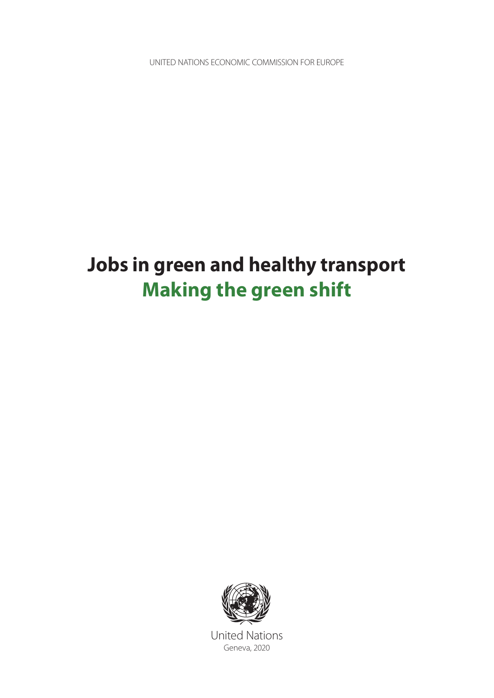UNITED NATIONS ECONOMIC COMMISSION FOR EUROPE

# **Jobs in green and healthy transport Making the green shift**



United Nations Geneva, 2020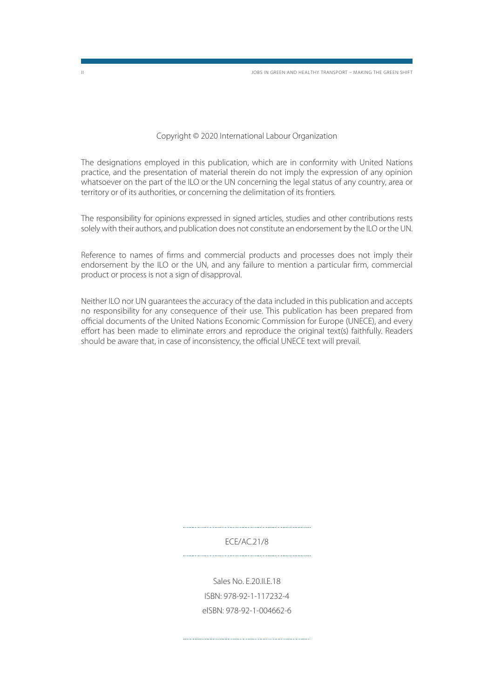Copyright © 2020 International Labour Organization

The designations employed in this publication, which are in conformity with United Nations practice, and the presentation of material therein do not imply the expression of any opinion whatsoever on the part of the ILO or the UN concerning the legal status of any country, area or territory or of its authorities, or concerning the delimitation of its frontiers.

The responsibility for opinions expressed in signed articles, studies and other contributions rests solely with their authors, and publication does not constitute an endorsement by the ILO or the UN.

Reference to names of firms and commercial products and processes does not imply their endorsement by the ILO or the UN, and any failure to mention a particular firm, commercial product or process is not a sign of disapproval.

Neither ILO nor UN guarantees the accuracy of the data included in this publication and accepts no responsibility for any consequence of their use. This publication has been prepared from official documents of the United Nations Economic Commission for Europe (UNECE), and every effort has been made to eliminate errors and reproduce the original text(s) faithfully. Readers should be aware that, in case of inconsistency, the official UNECE text will prevail.

> ECE/AC.21/8

Sales No. E.20.II.E.18 ISBN: 978-92-1-117232-4 eISBN: 978-92-1-004662-6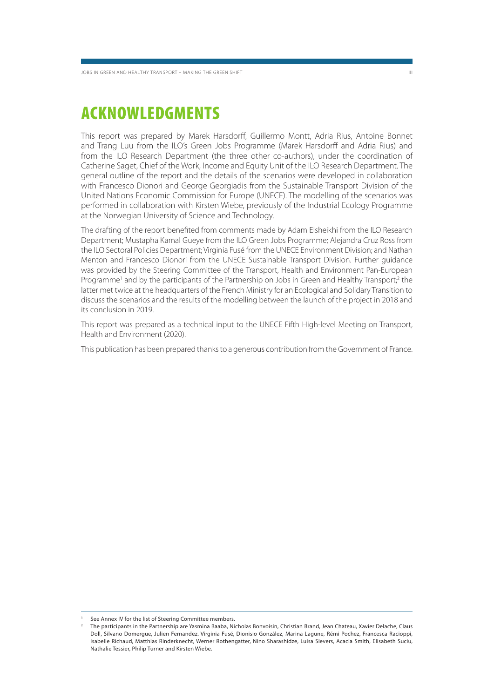### **ACKNOWLEDGMENTS**

This report was prepared by Marek Harsdorff, Guillermo Montt, Adria Rius, Antoine Bonnet and Trang Luu from the ILO's Green Jobs Programme (Marek Harsdorff and Adria Rius) and from the ILO Research Department (the three other co-authors), under the coordination of Catherine Saget, Chief of the Work, Income and Equity Unit of the ILO Research Department. The general outline of the report and the details of the scenarios were developed in collaboration with Francesco Dionori and George Georgiadis from the Sustainable Transport Division of the United Nations Economic Commission for Europe (UNECE). The modelling of the scenarios was performed in collaboration with Kirsten Wiebe, previously of the Industrial Ecology Programme at the Norwegian University of Science and Technology.

The drafting of the report benefited from comments made by Adam Elsheikhi from the ILO Research Department; Mustapha Kamal Gueye from the ILO Green Jobs Programme; Alejandra Cruz Ross from the ILO Sectoral Policies Department; Virginia Fusé from the UNECE Environment Division; and Nathan Menton and Francesco Dionori from the UNECE Sustainable Transport Division. Further guidance was provided by the Steering Committee of the Transport, Health and Environment Pan-European Programme<sup>1</sup> and by the participants of the Partnership on Jobs in Green and Healthy Transport;<sup>2</sup> the latter met twice at the headquarters of the French Ministry for an Ecological and Solidary Transition to discuss the scenarios and the results of the modelling between the launch of the project in 2018 and its conclusion in 2019.

This report was prepared as a technical input to the UNECE Fifth High-level Meeting on Transport, Health and Environment (2020).

This publication has been prepared thanks to a generous contribution from the Government of France.

See Annex IV for the list of Steering Committee members.

<sup>2</sup> The participants in the Partnership are Yasmina Baaba, Nicholas Bonvoisin, Christian Brand, Jean Chateau, Xavier Delache, Claus Doll, Silvano Domergue, Julien Fernandez. Virginia Fusé, Dionisio González, Marina Lagune, Rémi Pochez, Francesca Racioppi, Isabelle Richaud, Matthias Rinderknecht, Werner Rothengatter, Nino Sharashidze, Luisa Sievers, Acacia Smith, Elisabeth Suciu, Nathalie Tessier, Philip Turner and Kirsten Wiebe.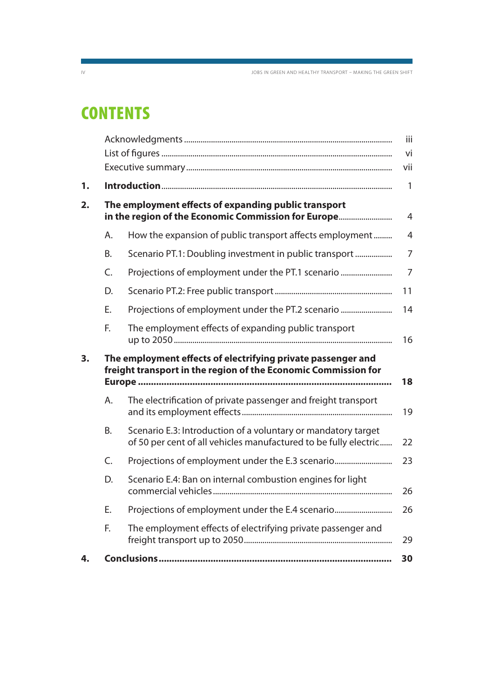IV JOBS IN GREEN AND HEALTHY TRANSPORT – MAKING THE GREEN SHIFT

# **CONTENTS**

|    |                                                                                                                                |                                                                                                                                   | iii            |  |
|----|--------------------------------------------------------------------------------------------------------------------------------|-----------------------------------------------------------------------------------------------------------------------------------|----------------|--|
|    |                                                                                                                                |                                                                                                                                   | vi             |  |
|    |                                                                                                                                |                                                                                                                                   | vii            |  |
| 1. |                                                                                                                                |                                                                                                                                   | $\mathbf{1}$   |  |
| 2. | The employment effects of expanding public transport<br>in the region of the Economic Commission for Europe                    |                                                                                                                                   |                |  |
|    | А.                                                                                                                             | How the expansion of public transport affects employment                                                                          | $\overline{4}$ |  |
|    | <b>B.</b>                                                                                                                      | Scenario PT.1: Doubling investment in public transport                                                                            | 7              |  |
|    | C.                                                                                                                             | Projections of employment under the PT.1 scenario                                                                                 | $\overline{7}$ |  |
|    | D.                                                                                                                             |                                                                                                                                   | 11             |  |
|    | Ε.                                                                                                                             | Projections of employment under the PT.2 scenario                                                                                 | 14             |  |
|    | F.                                                                                                                             | The employment effects of expanding public transport                                                                              | 16             |  |
| 3. | The employment effects of electrifying private passenger and<br>freight transport in the region of the Economic Commission for |                                                                                                                                   |                |  |
|    | A.                                                                                                                             | The electrification of private passenger and freight transport                                                                    | 19             |  |
|    | Β.                                                                                                                             | Scenario E.3: Introduction of a voluntary or mandatory target<br>of 50 per cent of all vehicles manufactured to be fully electric | 22             |  |
|    | C.                                                                                                                             | Projections of employment under the E.3 scenario                                                                                  | 23             |  |
|    | D.                                                                                                                             | Scenario E.4: Ban on internal combustion engines for light                                                                        | 26             |  |
|    | E.                                                                                                                             | Projections of employment under the E.4 scenario                                                                                  | 26             |  |
|    | F.                                                                                                                             | The employment effects of electrifying private passenger and                                                                      |                |  |
|    |                                                                                                                                |                                                                                                                                   | 29             |  |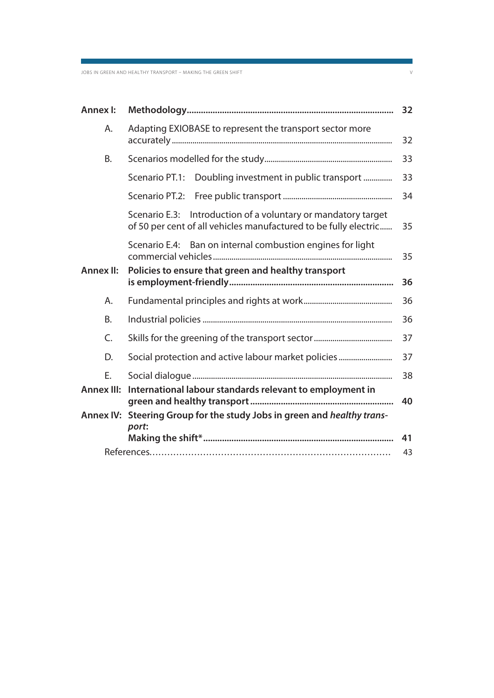| <b>Annex I:</b>   |                                                                                                                                      | 32 |
|-------------------|--------------------------------------------------------------------------------------------------------------------------------------|----|
| Α.                | Adapting EXIOBASE to represent the transport sector more                                                                             | 32 |
| B.                |                                                                                                                                      | 33 |
|                   | Doubling investment in public transport<br>Scenario PT.1:                                                                            | 33 |
|                   | Scenario PT.2:                                                                                                                       | 34 |
|                   | Introduction of a voluntary or mandatory target<br>Scenario E.3:<br>of 50 per cent of all vehicles manufactured to be fully electric | 35 |
|                   | Ban on internal combustion engines for light<br>Scenario E.4:                                                                        | 35 |
| <b>Annex II:</b>  | Policies to ensure that green and healthy transport                                                                                  | 36 |
| Α.                |                                                                                                                                      | 36 |
| B.                |                                                                                                                                      | 36 |
| C.                |                                                                                                                                      | 37 |
| D.                | Social protection and active labour market policies                                                                                  | 37 |
| Ε.                |                                                                                                                                      | 38 |
| <b>Annex III:</b> | International labour standards relevant to employment in                                                                             | 40 |
| <b>Annex IV:</b>  | Steering Group for the study Jobs in green and healthy trans-                                                                        |    |
|                   | port:                                                                                                                                | 41 |
|                   |                                                                                                                                      | 43 |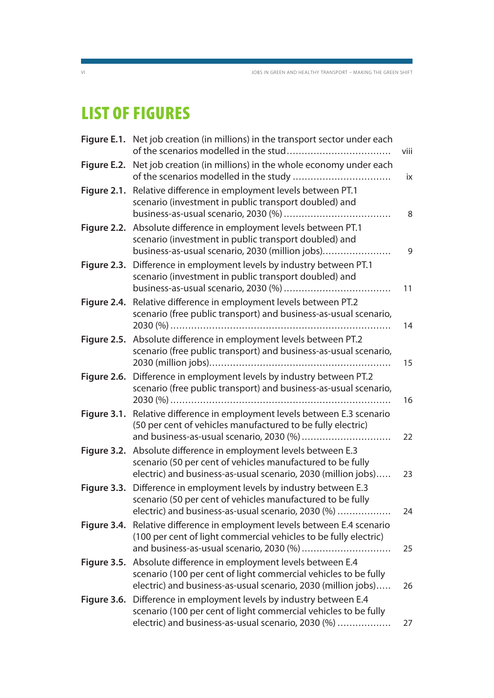# **LIST OF FIGURES**

|             | Figure E.1. Net job creation (in millions) in the transport sector under each                                                                                                                   | viii |
|-------------|-------------------------------------------------------------------------------------------------------------------------------------------------------------------------------------------------|------|
| Figure E.2. | Net job creation (in millions) in the whole economy under each                                                                                                                                  | ix   |
| Figure 2.1. | Relative difference in employment levels between PT.1<br>scenario (investment in public transport doubled) and                                                                                  | 8    |
|             | Figure 2.2. Absolute difference in employment levels between PT.1<br>scenario (investment in public transport doubled) and<br>business-as-usual scenario, 2030 (million jobs)                   | 9    |
| Figure 2.3. | Difference in employment levels by industry between PT.1<br>scenario (investment in public transport doubled) and                                                                               | 11   |
| Figure 2.4. | Relative difference in employment levels between PT.2<br>scenario (free public transport) and business-as-usual scenario,                                                                       | 14   |
| Figure 2.5. | Absolute difference in employment levels between PT.2<br>scenario (free public transport) and business-as-usual scenario,                                                                       | 15   |
| Figure 2.6. | Difference in employment levels by industry between PT.2<br>scenario (free public transport) and business-as-usual scenario,                                                                    | 16   |
|             | Figure 3.1. Relative difference in employment levels between E.3 scenario<br>(50 per cent of vehicles manufactured to be fully electric)<br>and business-as-usual scenario, 2030 (%)            | 22   |
|             | Figure 3.2. Absolute difference in employment levels between E.3<br>scenario (50 per cent of vehicles manufactured to be fully<br>electric) and business-as-usual scenario, 2030 (million jobs) | 23   |
| Figure 3.3. | Difference in employment levels by industry between E.3<br>scenario (50 per cent of vehicles manufactured to be fully<br>electric) and business-as-usual scenario, 2030 (%)                     | 24   |
| Figure 3.4. | Relative difference in employment levels between E.4 scenario<br>(100 per cent of light commercial vehicles to be fully electric)<br>and business-as-usual scenario, 2030 (%)                   | 25   |
| Figure 3.5. | Absolute difference in employment levels between E.4<br>scenario (100 per cent of light commercial vehicles to be fully<br>electric) and business-as-usual scenario, 2030 (million jobs)        | 26   |
|             | Figure 3.6. Difference in employment levels by industry between E.4<br>scenario (100 per cent of light commercial vehicles to be fully<br>electric) and business-as-usual scenario, 2030 (%)    | 27   |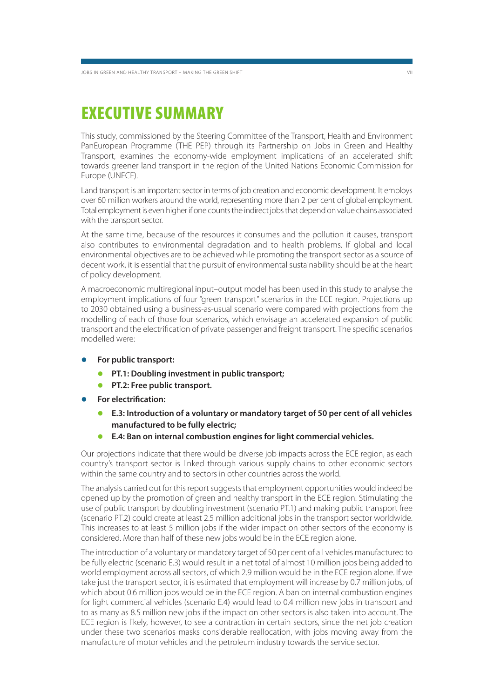### **EXECUTIVE SUMMARY**

This study, commissioned by the Steering Committee of the Transport, Health and Environment PanEuropean Programme (THE PEP) through its Partnership on Jobs in Green and Healthy Transport, examines the economy-wide employment implications of an accelerated shift towards greener land transport in the region of the United Nations Economic Commission for Europe (UNECE).

Land transport is an important sector in terms of job creation and economic development. It employs over 60 million workers around the world, representing more than 2 per cent of global employment. Total employment is even higher if one counts the indirect jobs that depend on value chains associated with the transport sector.

At the same time, because of the resources it consumes and the pollution it causes, transport also contributes to environmental degradation and to health problems. If global and local environmental objectives are to be achieved while promoting the transport sector as a source of decent work, it is essential that the pursuit of environmental sustainability should be at the heart of policy development.

A macroeconomic multiregional input–output model has been used in this study to analyse the employment implications of four "green transport" scenarios in the ECE region. Projections up to 2030 obtained using a business-as-usual scenario were compared with projections from the modelling of each of those four scenarios, which envisage an accelerated expansion of public transport and the electrification of private passenger and freight transport. The specific scenarios modelled were:

- **For public transport:**
	- **PT.1: Doubling investment in public transport;**
	- **PT.2: Free public transport.**
- **For electrification:**
	- **E.3: Introduction of a voluntary or mandatory target of 50 per cent of all vehicles manufactured to be fully electric;**
	- **E.4: Ban on internal combustion engines for light commercial vehicles.**

Our projections indicate that there would be diverse job impacts across the ECE region, as each country's transport sector is linked through various supply chains to other economic sectors within the same country and to sectors in other countries across the world.

The analysis carried out for this report suggests that employment opportunities would indeed be opened up by the promotion of green and healthy transport in the ECE region. Stimulating the use of public transport by doubling investment (scenario PT.1) and making public transport free (scenario PT.2) could create at least 2.5 million additional jobs in the transport sector worldwide. This increases to at least 5 million jobs if the wider impact on other sectors of the economy is considered. More than half of these new jobs would be in the ECE region alone.

The introduction of a voluntary or mandatory target of 50 per cent of all vehicles manufactured to be fully electric (scenario E.3) would result in a net total of almost 10 million jobs being added to world employment across all sectors, of which 2.9 million would be in the ECE region alone. If we take just the transport sector, it is estimated that employment will increase by 0.7 million jobs, of which about 0.6 million jobs would be in the ECE region. A ban on internal combustion engines for light commercial vehicles (scenario E.4) would lead to 0.4 million new jobs in transport and to as many as 8.5 million new jobs if the impact on other sectors is also taken into account. The ECE region is likely, however, to see a contraction in certain sectors, since the net job creation under these two scenarios masks considerable reallocation, with jobs moving away from the manufacture of motor vehicles and the petroleum industry towards the service sector.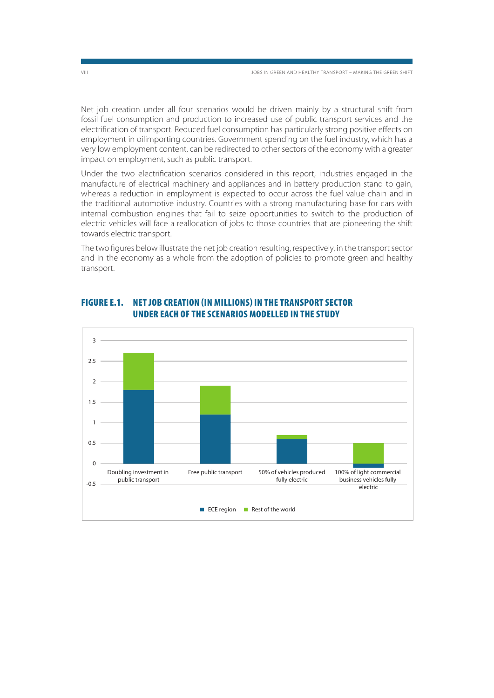Net job creation under all four scenarios would be driven mainly by a structural shift from fossil fuel consumption and production to increased use of public transport services and the electrification of transport. Reduced fuel consumption has particularly strong positive effects on employment in oilimporting countries. Government spending on the fuel industry, which has a very low employment content, can be redirected to other sectors of the economy with a greater impact on employment, such as public transport.

Under the two electrification scenarios considered in this report, industries engaged in the manufacture of electrical machinery and appliances and in battery production stand to gain, whereas a reduction in employment is expected to occur across the fuel value chain and in the traditional automotive industry. Countries with a strong manufacturing base for cars with internal combustion engines that fail to seize opportunities to switch to the production of electric vehicles will face a reallocation of jobs to those countries that are pioneering the shift towards electric transport.

The two figures below illustrate the net job creation resulting, respectively, in the transport sector and in the economy as a whole from the adoption of policies to promote green and healthy transport.



### **FIGURE E.1. NET JOB CREATION (IN MILLIONS) IN THE TRANSPORT SECTOR UNDER EACH OF THE SCENARIOS MODELLED IN THE STUDY**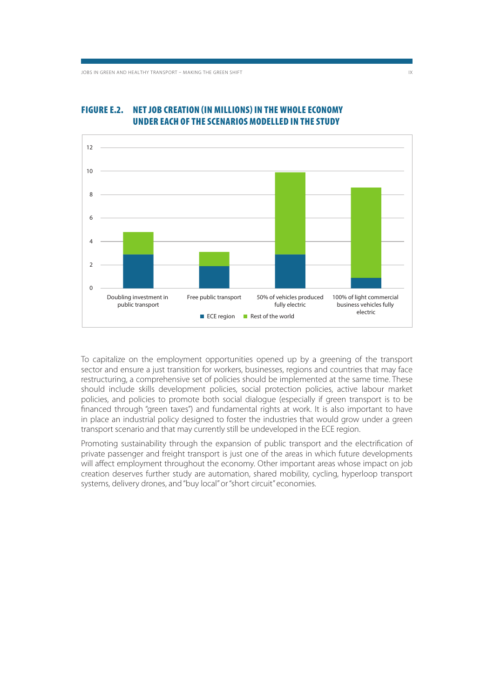

#### **FIGURE E.2. NET JOB CREATION (IN MILLIONS) IN THE WHOLE ECONOMY UNDER EACH OF THE SCENARIOS MODELLED IN THE STUDY**

To capitalize on the employment opportunities opened up by a greening of the transport sector and ensure a just transition for workers, businesses, regions and countries that may face restructuring, a comprehensive set of policies should be implemented at the same time. These should include skills development policies, social protection policies, active labour market policies, and policies to promote both social dialogue (especially if green transport is to be financed through "green taxes") and fundamental rights at work. It is also important to have in place an industrial policy designed to foster the industries that would grow under a green transport scenario and that may currently still be undeveloped in the ECE region.

Promoting sustainability through the expansion of public transport and the electrification of private passenger and freight transport is just one of the areas in which future developments will affect employment throughout the economy. Other important areas whose impact on job creation deserves further study are automation, shared mobility, cycling, hyperloop transport systems, delivery drones, and "buy local" or "short circuit" economies.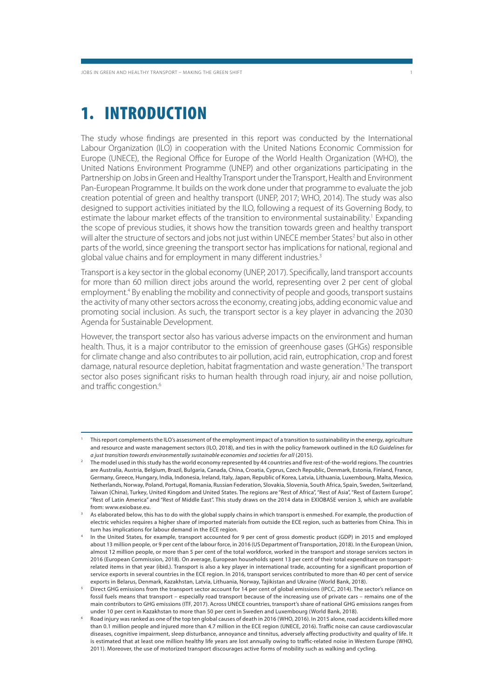# **1. INTRODUCTION**

The study whose findings are presented in this report was conducted by the International Labour Organization (ILO) in cooperation with the United Nations Economic Commission for Europe (UNECE), the Regional Office for Europe of the World Health Organization (WHO), the United Nations Environment Programme (UNEP) and other organizations participating in the Partnership on Jobs in Green and Healthy Transport under the Transport, Health and Environment Pan-European Programme. It builds on the work done under that programme to evaluate the job creation potential of green and healthy transport (UNEP, 2017; WHO, 2014). The study was also designed to support activities initiated by the ILO, following a request of its Governing Body, to estimate the labour market effects of the transition to environmental sustainability.<sup>1</sup> Expanding the scope of previous studies, it shows how the transition towards green and healthy transport will alter the structure of sectors and jobs not just within UNECE member States<sup>2</sup> but also in other parts of the world, since greening the transport sector has implications for national, regional and global value chains and for employment in many different industries.<sup>3</sup>

Transport is a key sector in the global economy (UNEP, 2017). Specifically, land transport accounts for more than 60 million direct jobs around the world, representing over 2 per cent of global employment.<sup>4</sup> By enabling the mobility and connectivity of people and goods, transport sustains the activity of many other sectors across the economy, creating jobs, adding economic value and promoting social inclusion. As such, the transport sector is a key player in advancing the 2030 Agenda for Sustainable Development.

However, the transport sector also has various adverse impacts on the environment and human health. Thus, it is a major contributor to the emission of greenhouse gases (GHGs) responsible for climate change and also contributes to air pollution, acid rain, eutrophication, crop and forest damage, natural resource depletion, habitat fragmentation and waste generation.<sup>5</sup> The transport sector also poses significant risks to human health through road injury, air and noise pollution, and traffic congestion.<sup>6</sup>

<sup>1</sup> This report complements the ILO's assessment of the employment impact of a transition to sustainability in the energy, agriculture and resource and waste management sectors (ILO, 2018), and ties in with the policy framework outlined in the ILO Guidelines for a just transition towards environmentally sustainable economies and societies for all (2015).

<sup>2</sup> The model used in this study has the world economy represented by 44 countries and five rest-of-the-world regions. The countries are Australia, Austria, Belgium, Brazil, Bulgaria, Canada, China, Croatia, Cyprus, Czech Republic, Denmark, Estonia, Finland, France, Germany, Greece, Hungary, India, Indonesia, Ireland, Italy, Japan, Republic of Korea, Latvia, Lithuania, Luxembourg, Malta, Mexico, Netherlands, Norway, Poland, Portugal, Romania, Russian Federation, Slovakia, Slovenia, South Africa, Spain, Sweden, Switzerland, Taiwan (China), Turkey, United Kingdom and United States. The regions are "Rest of Africa", "Rest of Asia", "Rest of Eastern Europe", "Rest of Latin America" and "Rest of Middle East". This study draws on the 2014 data in EXIOBASE version 3, which are available from: www.exiobase.eu.

<sup>3</sup> As elaborated below, this has to do with the global supply chains in which transport is enmeshed. For example, the production of electric vehicles requires a higher share of imported materials from outside the ECE region, such as batteries from China. This in turn has implications for labour demand in the ECE region.

In the United States, for example, transport accounted for 9 per cent of gross domestic product (GDP) in 2015 and employed about 13 million people, or 9 per cent of the labour force, in 2016 (US Department of Transportation, 2018). In the European Union, almost 12 million people, or more than 5 per cent of the total workforce, worked in the transport and storage services sectors in 2016 (European Commission, 2018). On average, European households spent 13 per cent of their total expenditure on transportrelated items in that year (ibid.). Transport is also a key player in international trade, accounting for a significant proportion of service exports in several countries in the ECE region. In 2016, transport services contributed to more than 40 per cent of service exports in Belarus, Denmark, Kazakhstan, Latvia, Lithuania, Norway, Tajikistan and Ukraine (World Bank, 2018).

<sup>5</sup> Direct GHG emissions from the transport sector account for 14 per cent of global emissions (IPCC, 2014). The sector's reliance on fossil fuels means that transport – especially road transport because of the increasing use of private cars – remains one of the main contributors to GHG emissions (ITF, 2017). Across UNECE countries, transport's share of national GHG emissions ranges from under 10 per cent in Kazakhstan to more than 50 per cent in Sweden and Luxembourg (World Bank, 2018).

<sup>6</sup> Road injury was ranked as one of the top ten global causes of death in 2016 (WHO, 2016). In 2015 alone, road accidents killed more than 0.1 million people and injured more than 4.7 million in the ECE region (UNECE, 2016). Traffic noise can cause cardiovascular diseases, cognitive impairment, sleep disturbance, annoyance and tinnitus, adversely affecting productivity and quality of life. It is estimated that at least one million healthy life years are lost annually owing to traffic-related noise in Western Europe (WHO, 2011). Moreover, the use of motorized transport discourages active forms of mobility such as walking and cycling.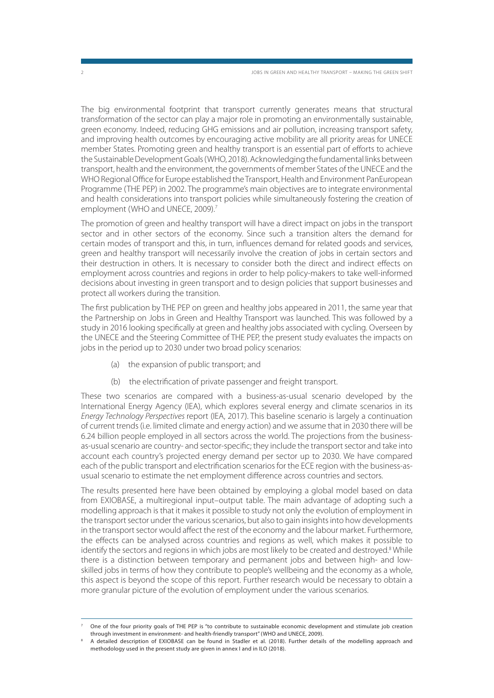The big environmental footprint that transport currently generates means that structural transformation of the sector can play a major role in promoting an environmentally sustainable, green economy. Indeed, reducing GHG emissions and air pollution, increasing transport safety, and improving health outcomes by encouraging active mobility are all priority areas for UNECE member States. Promoting green and healthy transport is an essential part of efforts to achieve the Sustainable Development Goals (WHO, 2018). Acknowledging the fundamental links between transport, health and the environment, the governments of member States of the UNECE and the WHO Regional Office for Europe established the Transport, Health and Environment PanEuropean Programme (THE PEP) in 2002. The programme's main objectives are to integrate environmental and health considerations into transport policies while simultaneously fostering the creation of employment (WHO and UNECE, 2009).<sup>7</sup>

The promotion of green and healthy transport will have a direct impact on jobs in the transport sector and in other sectors of the economy. Since such a transition alters the demand for certain modes of transport and this, in turn, influences demand for related goods and services, green and healthy transport will necessarily involve the creation of jobs in certain sectors and their destruction in others. It is necessary to consider both the direct and indirect effects on employment across countries and regions in order to help policy-makers to take well-informed decisions about investing in green transport and to design policies that support businesses and protect all workers during the transition.

The first publication by THE PEP on green and healthy jobs appeared in 2011, the same year that the Partnership on Jobs in Green and Healthy Transport was launched. This was followed by a study in 2016 looking specifically at green and healthy jobs associated with cycling. Overseen by the UNECE and the Steering Committee of THE PEP, the present study evaluates the impacts on jobs in the period up to 2030 under two broad policy scenarios:

- (a) the expansion of public transport; and
- (b) the electrification of private passenger and freight transport.

These two scenarios are compared with a business-as-usual scenario developed by the International Energy Agency (IEA), which explores several energy and climate scenarios in its Energy Technology Perspectives report (IEA, 2017). This baseline scenario is largely a continuation of current trends (i.e. limited climate and energy action) and we assume that in 2030 there will be 6.24 billion people employed in all sectors across the world. The projections from the businessas-usual scenario are country- and sector-specific; they include the transport sector and take into account each country's projected energy demand per sector up to 2030. We have compared each of the public transport and electrification scenarios for the ECE region with the business-asusual scenario to estimate the net employment difference across countries and sectors.

The results presented here have been obtained by employing a global model based on data from EXIOBASE, a multiregional input–output table. The main advantage of adopting such a modelling approach is that it makes it possible to study not only the evolution of employment in the transport sector under the various scenarios, but also to gain insights into how developments in the transport sector would affect the rest of the economy and the labour market. Furthermore, the effects can be analysed across countries and regions as well, which makes it possible to identify the sectors and regions in which jobs are most likely to be created and destroyed.<sup>8</sup> While there is a distinction between temporary and permanent jobs and between high- and lowskilled jobs in terms of how they contribute to people's wellbeing and the economy as a whole, this aspect is beyond the scope of this report. Further research would be necessary to obtain a more granular picture of the evolution of employment under the various scenarios.

<sup>7</sup> One of the four priority goals of THE PEP is "to contribute to sustainable economic development and stimulate job creation through investment in environment- and health-friendly transport" (WHO and UNECE, 2009).

<sup>8</sup> A detailed description of EXIOBASE can be found in Stadler et al. (2018). Further details of the modelling approach and methodology used in the present study are given in annex I and in ILO (2018).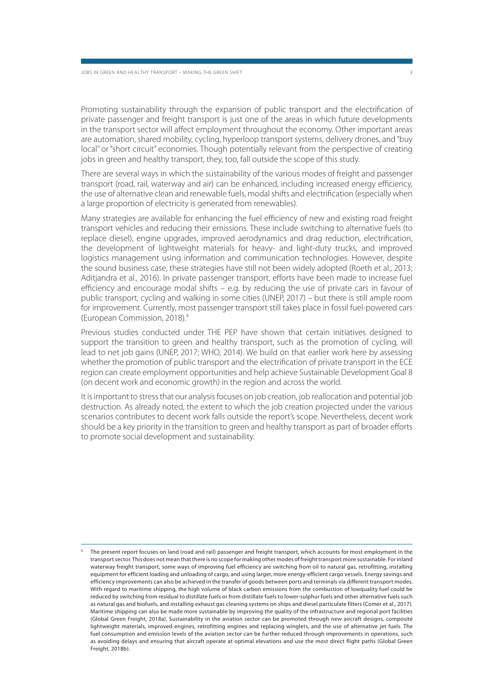Promoting sustainability through the expansion of public transport and the electrification of private passenger and freight transport is just one of the areas in which future developments in the transport sector will affect employment throughout the economy. Other important areas are automation, shared mobility, cycling, hyperloop transport systems, delivery drones, and "buy local" or "short circuit" economies. Though potentially relevant from the perspective of creating jobs in green and healthy transport, they, too, fall outside the scope of this study.

There are several ways in which the sustainability of the various modes of freight and passenger transport (road, rail, waterway and air) can be enhanced, including increased energy efficiency, the use of alternative clean and renewable fuels, modal shifts and electrification (especially when a large proportion of electricity is generated from renewables).

Many strategies are available for enhancing the fuel efficiency of new and existing road freight transport vehicles and reducing their emissions. These include switching to alternative fuels (to replace diesel), engine upgrades, improved aerodynamics and drag reduction, electrification, the development of lightweight materials for heavy- and light-duty trucks, and improved logistics management using information and communication technologies. However, despite the sound business case, these strategies have still not been widely adopted (Roeth et al., 2013; Aditjandra et al., 2016). In private passenger transport, efforts have been made to increase fuel efficiency and encourage modal shifts – e.g. by reducing the use of private cars in favour of public transport, cycling and walking in some cities (UNEP, 2017) – but there is still ample room for improvement. Currently, most passenger transport still takes place in fossil fuel-powered cars (European Commission, 2018).<sup>9</sup>

Previous studies conducted under THE PEP have shown that certain initiatives designed to support the transition to green and healthy transport, such as the promotion of cycling, will lead to net job gains (UNEP, 2017; WHO, 2014). We build on that earlier work here by assessing whether the promotion of public transport and the electrification of private transport in the ECE region can create employment opportunities and help achieve Sustainable Development Goal 8 (on decent work and economic growth) in the region and across the world.

It is important to stress that our analysis focuses on job creation, job reallocation and potential job destruction. As already noted, the extent to which the job creation projected under the various scenarios contributes to decent work falls outside the report's scope. Nevertheless, decent work should be a key priority in the transition to green and healthy transport as part of broader efforts to promote social development and sustainability.

The present report focuses on land (road and rail) passenger and freight transport, which accounts for most employment in the transport sector. This does not mean that there is no scope for making other modes of freight transport more sustainable. For inland waterway freight transport, some ways of improving fuel efficiency are switching from oil to natural gas, retrofitting, installing equipment for efficient loading and unloading of cargo, and using larger, more energy-efficient cargo vessels. Energy savings and efficiency improvements can also be achieved in the transfer of goods between ports and terminals via different transport modes. With regard to maritime shipping, the high volume of black carbon emissions from the combustion of lowquality fuel could be reduced by switching from residual to distillate fuels or from distillate fuels to lower-sulphur fuels and other alternative fuels such as natural gas and biofuels, and installing exhaust gas cleaning systems on ships and diesel particulate filters (Comer et al., 2017). Maritime shipping can also be made more sustainable by improving the quality of the infrastructure and regional port facilities (Global Green Freight, 2018a). Sustainability in the aviation sector can be promoted through new aircraft designs, composite lightweight materials, improved engines, retrofitting engines and replacing winglets, and the use of alternative jet fuels. The fuel consumption and emission levels of the aviation sector can be further reduced through improvements in operations, such as avoiding delays and ensuring that aircraft operate at optimal elevations and use the most direct flight paths (Global Green Freight, 2018b).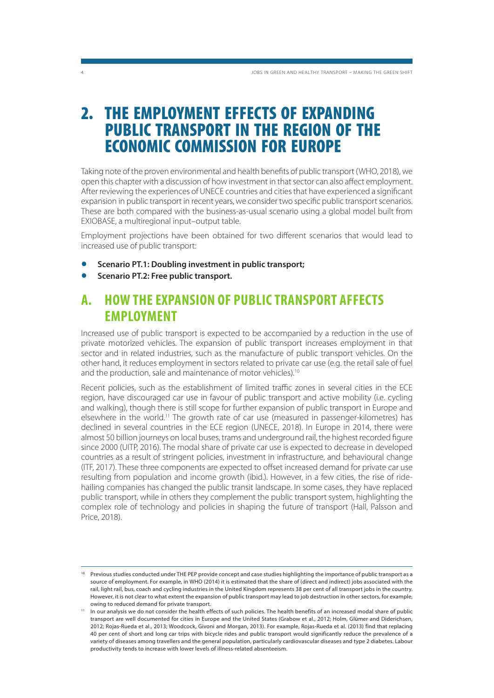### **2. THE EMPLOYMENT EFFECTS OF EXPANDING PUBLIC TRANSPORT IN THE REGION OF THE ECONOMIC COMMISSION FOR EUROPE**

Taking note of the proven environmental and health benefits of public transport (WHO, 2018), we open this chapter with a discussion of how investment in that sector can also affect employment. After reviewing the experiences of UNECE countries and cities that have experienced a significant expansion in public transport in recent years, we consider two specific public transport scenarios. These are both compared with the business-as-usual scenario using a global model built from EXIOBASE, a multiregional input–output table.

Employment projections have been obtained for two different scenarios that would lead to increased use of public transport:

- **Scenario PT.1: Doubling investment in public transport;**
- **Scenario PT.2: Free public transport.**

### **A. HOW THE EXPANSION OF PUBLIC TRANSPORT AFFECTS EMPLOYMENT**

Increased use of public transport is expected to be accompanied by a reduction in the use of private motorized vehicles. The expansion of public transport increases employment in that sector and in related industries, such as the manufacture of public transport vehicles. On the other hand, it reduces employment in sectors related to private car use (e.g. the retail sale of fuel and the production, sale and maintenance of motor vehicles).<sup>10</sup>

Recent policies, such as the establishment of limited traffic zones in several cities in the ECE region, have discouraged car use in favour of public transport and active mobility (i.e. cycling and walking), though there is still scope for further expansion of public transport in Europe and elsewhere in the world.11 The growth rate of car use (measured in passenger-kilometres) has declined in several countries in the ECE region (UNECE, 2018). In Europe in 2014, there were almost 50 billion journeys on local buses, trams and underground rail, the highest recorded figure since 2000 (UITP, 2016). The modal share of private car use is expected to decrease in developed countries as a result of stringent policies, investment in infrastructure, and behavioural change (ITF, 2017). These three components are expected to offset increased demand for private car use resulting from population and income growth (ibid.). However, in a few cities, the rise of ridehailing companies has changed the public transit landscape. In some cases, they have replaced public transport, while in others they complement the public transport system, highlighting the complex role of technology and policies in shaping the future of transport (Hall, Palsson and Price, 2018).

Previous studies conducted under THE PEP provide concept and case studies highlighting the importance of public transport as a source of employment. For example, in WHO (2014) it is estimated that the share of (direct and indirect) jobs associated with the rail, light rail, bus, coach and cycling industries in the United Kingdom represents 38 per cent of all transport jobs in the country. However, it is not clear to what extent the expansion of public transport may lead to job destruction in other sectors, for example, owing to reduced demand for private transport.

<sup>11</sup> In our analysis we do not consider the health effects of such policies. The health benefits of an increased modal share of public transport are well documented for cities in Europe and the United States (Grabow et al., 2012; Holm, Glümer and Diderichsen, 2012; Rojas-Rueda et al., 2013; Woodcock, Givoni and Morgan, 2013). For example, Rojas-Rueda et al. (2013) find that replacing 40 per cent of short and long car trips with bicycle rides and public transport would significantly reduce the prevalence of a variety of diseases among travellers and the general population, particularly cardiovascular diseases and type 2 diabetes. Labour productivity tends to increase with lower levels of illness-related absenteeism.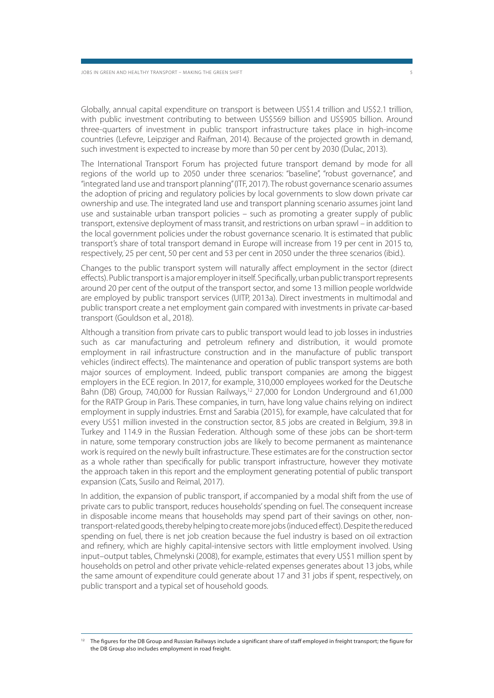Globally, annual capital expenditure on transport is between US\$1.4 trillion and US\$2.1 trillion, with public investment contributing to between US\$569 billion and US\$905 billion. Around three-quarters of investment in public transport infrastructure takes place in high-income countries (Lefevre, Leipziger and Raifman, 2014). Because of the projected growth in demand, such investment is expected to increase by more than 50 per cent by 2030 (Dulac, 2013).

The International Transport Forum has projected future transport demand by mode for all regions of the world up to 2050 under three scenarios: "baseline", "robust governance", and "integrated land use and transport planning" (ITF, 2017). The robust governance scenario assumes the adoption of pricing and regulatory policies by local governments to slow down private car ownership and use. The integrated land use and transport planning scenario assumes joint land use and sustainable urban transport policies – such as promoting a greater supply of public transport, extensive deployment of mass transit, and restrictions on urban sprawl – in addition to the local government policies under the robust governance scenario. It is estimated that public transport's share of total transport demand in Europe will increase from 19 per cent in 2015 to, respectively, 25 per cent, 50 per cent and 53 per cent in 2050 under the three scenarios (ibid.).

Changes to the public transport system will naturally affect employment in the sector (direct effects). Public transport is a major employer in itself. Specifically, urban public transport represents around 20 per cent of the output of the transport sector, and some 13 million people worldwide are employed by public transport services (UITP, 2013a). Direct investments in multimodal and public transport create a net employment gain compared with investments in private car-based transport (Gouldson et al., 2018).

Although a transition from private cars to public transport would lead to job losses in industries such as car manufacturing and petroleum refinery and distribution, it would promote employment in rail infrastructure construction and in the manufacture of public transport vehicles (indirect effects). The maintenance and operation of public transport systems are both major sources of employment. Indeed, public transport companies are among the biggest employers in the ECE region. In 2017, for example, 310,000 employees worked for the Deutsche Bahn (DB) Group, 740,000 for Russian Railways,<sup>12</sup> 27,000 for London Underground and 61,000 for the RATP Group in Paris. These companies, in turn, have long value chains relying on indirect employment in supply industries. Ernst and Sarabia (2015), for example, have calculated that for every US\$1 million invested in the construction sector, 8.5 jobs are created in Belgium, 39.8 in Turkey and 114.9 in the Russian Federation. Although some of these jobs can be short-term in nature, some temporary construction jobs are likely to become permanent as maintenance work is required on the newly built infrastructure. These estimates are for the construction sector as a whole rather than specifically for public transport infrastructure, however they motivate the approach taken in this report and the employment generating potential of public transport expansion (Cats, Susilo and Reimal, 2017).

In addition, the expansion of public transport, if accompanied by a modal shift from the use of private cars to public transport, reduces households' spending on fuel. The consequent increase in disposable income means that households may spend part of their savings on other, nontransport-related goods, thereby helping to create more jobs (induced effect). Despite the reduced spending on fuel, there is net job creation because the fuel industry is based on oil extraction and refinery, which are highly capital-intensive sectors with little employment involved. Using input–output tables, Chmelynski (2008), for example, estimates that every US\$1 million spent by households on petrol and other private vehicle-related expenses generates about 13 jobs, while the same amount of expenditure could generate about 17 and 31 jobs if spent, respectively, on public transport and a typical set of household goods.

<sup>&</sup>lt;sup>12</sup> The figures for the DB Group and Russian Railways include a significant share of staff employed in freight transport; the figure for the DB Group also includes employment in road freight.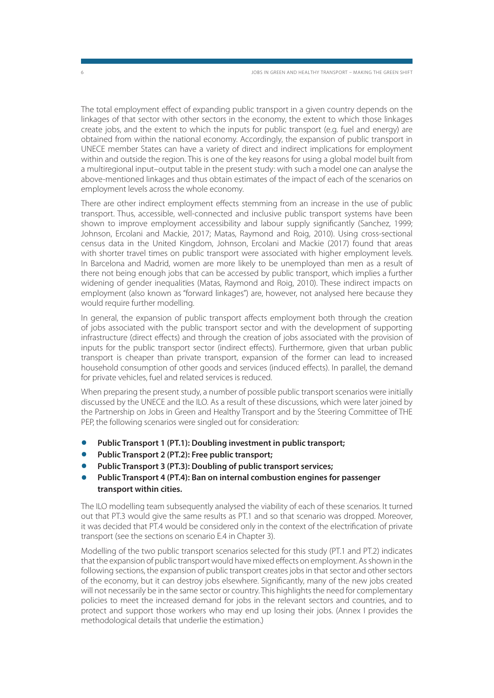The total employment effect of expanding public transport in a given country depends on the linkages of that sector with other sectors in the economy, the extent to which those linkages create jobs, and the extent to which the inputs for public transport (e.g. fuel and energy) are obtained from within the national economy. Accordingly, the expansion of public transport in UNECE member States can have a variety of direct and indirect implications for employment within and outside the region. This is one of the key reasons for using a global model built from a multiregional input–output table in the present study: with such a model one can analyse the above-mentioned linkages and thus obtain estimates of the impact of each of the scenarios on employment levels across the whole economy.

There are other indirect employment effects stemming from an increase in the use of public transport. Thus, accessible, well-connected and inclusive public transport systems have been shown to improve employment accessibility and labour supply significantly (Sanchez, 1999; Johnson, Ercolani and Mackie, 2017; Matas, Raymond and Roig, 2010). Using cross-sectional census data in the United Kingdom, Johnson, Ercolani and Mackie (2017) found that areas with shorter travel times on public transport were associated with higher employment levels. In Barcelona and Madrid, women are more likely to be unemployed than men as a result of there not being enough jobs that can be accessed by public transport, which implies a further widening of gender inequalities (Matas, Raymond and Roig, 2010). These indirect impacts on employment (also known as "forward linkages") are, however, not analysed here because they would require further modelling.

In general, the expansion of public transport affects employment both through the creation of jobs associated with the public transport sector and with the development of supporting infrastructure (direct effects) and through the creation of jobs associated with the provision of inputs for the public transport sector (indirect effects). Furthermore, given that urban public transport is cheaper than private transport, expansion of the former can lead to increased household consumption of other goods and services (induced effects). In parallel, the demand for private vehicles, fuel and related services is reduced.

When preparing the present study, a number of possible public transport scenarios were initially discussed by the UNECE and the ILO. As a result of these discussions, which were later joined by the Partnership on Jobs in Green and Healthy Transport and by the Steering Committee of THE PEP, the following scenarios were singled out for consideration:

- **Public Transport 1 (PT.1): Doubling investment in public transport;**
- **Public Transport 2 (PT.2): Free public transport;**
- **Public Transport 3 (PT.3): Doubling of public transport services;**
- **Public Transport 4 (PT.4): Ban on internal combustion engines for passenger transport within cities.**

The ILO modelling team subsequently analysed the viability of each of these scenarios. It turned out that PT.3 would give the same results as PT.1 and so that scenario was dropped. Moreover, it was decided that PT.4 would be considered only in the context of the electrification of private transport (see the sections on scenario E.4 in Chapter 3).

Modelling of the two public transport scenarios selected for this study (PT.1 and PT.2) indicates that the expansion of public transport would have mixed effects on employment. As shown in the following sections, the expansion of public transport creates jobs in that sector and other sectors of the economy, but it can destroy jobs elsewhere. Significantly, many of the new jobs created will not necessarily be in the same sector or country. This highlights the need for complementary policies to meet the increased demand for jobs in the relevant sectors and countries, and to protect and support those workers who may end up losing their jobs. (Annex I provides the methodological details that underlie the estimation.)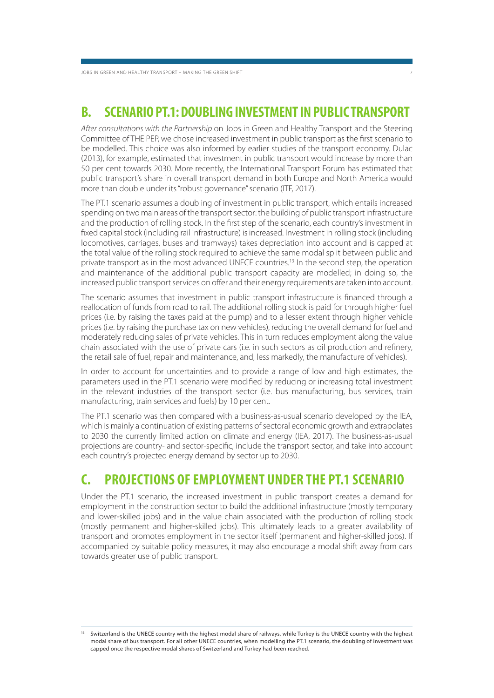JOBS IN GREEN AND HEALTHY TRANSPORT – MAKING THE GREEN SHIFT

### **B. SCENARIO PT.1: DOUBLING INVESTMENT IN PUBLIC TRANSPORT**

After consultations with the Partnership on Jobs in Green and Healthy Transport and the Steering Committee of THE PEP, we chose increased investment in public transport as the first scenario to be modelled. This choice was also informed by earlier studies of the transport economy. Dulac (2013), for example, estimated that investment in public transport would increase by more than 50 per cent towards 2030. More recently, the International Transport Forum has estimated that public transport's share in overall transport demand in both Europe and North America would more than double under its "robust governance" scenario (ITF, 2017).

The PT.1 scenario assumes a doubling of investment in public transport, which entails increased spending on two main areas of the transport sector: the building of public transport infrastructure and the production of rolling stock. In the first step of the scenario, each country's investment in fixed capital stock (including rail infrastructure) is increased. Investment in rolling stock (including locomotives, carriages, buses and tramways) takes depreciation into account and is capped at the total value of the rolling stock required to achieve the same modal split between public and private transport as in the most advanced UNECE countries.13 In the second step, the operation and maintenance of the additional public transport capacity are modelled; in doing so, the increased public transport services on offer and their energy requirements are taken into account.

The scenario assumes that investment in public transport infrastructure is financed through a reallocation of funds from road to rail. The additional rolling stock is paid for through higher fuel prices (i.e. by raising the taxes paid at the pump) and to a lesser extent through higher vehicle prices (i.e. by raising the purchase tax on new vehicles), reducing the overall demand for fuel and moderately reducing sales of private vehicles. This in turn reduces employment along the value chain associated with the use of private cars (i.e. in such sectors as oil production and refinery, the retail sale of fuel, repair and maintenance, and, less markedly, the manufacture of vehicles).

In order to account for uncertainties and to provide a range of low and high estimates, the parameters used in the PT.1 scenario were modified by reducing or increasing total investment in the relevant industries of the transport sector (i.e. bus manufacturing, bus services, train manufacturing, train services and fuels) by 10 per cent.

The PT.1 scenario was then compared with a business-as-usual scenario developed by the IEA, which is mainly a continuation of existing patterns of sectoral economic growth and extrapolates to 2030 the currently limited action on climate and energy (IEA, 2017). The business-as-usual projections are country- and sector-specific, include the transport sector, and take into account each country's projected energy demand by sector up to 2030.

### **C. PROJECTIONS OF EMPLOYMENT UNDER THE PT.1 SCENARIO**

Under the PT.1 scenario, the increased investment in public transport creates a demand for employment in the construction sector to build the additional infrastructure (mostly temporary and lower-skilled jobs) and in the value chain associated with the production of rolling stock (mostly permanent and higher-skilled jobs). This ultimately leads to a greater availability of transport and promotes employment in the sector itself (permanent and higher-skilled jobs). If accompanied by suitable policy measures, it may also encourage a modal shift away from cars towards greater use of public transport.

<sup>13</sup> Switzerland is the UNECE country with the highest modal share of railways, while Turkey is the UNECE country with the highest modal share of bus transport. For all other UNECE countries, when modelling the PT.1 scenario, the doubling of investment was capped once the respective modal shares of Switzerland and Turkey had been reached.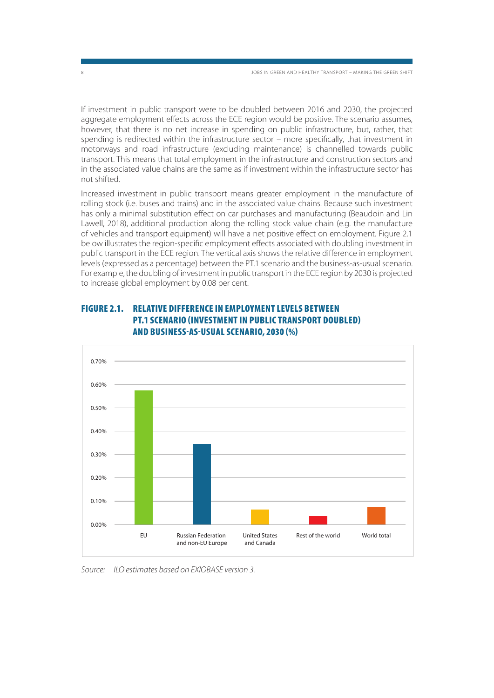If investment in public transport were to be doubled between 2016 and 2030, the projected aggregate employment effects across the ECE region would be positive. The scenario assumes, however, that there is no net increase in spending on public infrastructure, but, rather, that spending is redirected within the infrastructure sector – more specifically, that investment in motorways and road infrastructure (excluding maintenance) is channelled towards public transport. This means that total employment in the infrastructure and construction sectors and in the associated value chains are the same as if investment within the infrastructure sector has not shifted.

Increased investment in public transport means greater employment in the manufacture of rolling stock (i.e. buses and trains) and in the associated value chains. Because such investment has only a minimal substitution effect on car purchases and manufacturing (Beaudoin and Lin Lawell, 2018), additional production along the rolling stock value chain (e.g. the manufacture of vehicles and transport equipment) will have a net positive effect on employment. Figure 2.1 below illustrates the region-specific employment effects associated with doubling investment in public transport in the ECE region. The vertical axis shows the relative difference in employment levels (expressed as a percentage) between the PT.1 scenario and the business-as-usual scenario. For example, the doubling of investment in public transport in the ECE region by 2030 is projected to increase global employment by 0.08 per cent.



### **FIGURE 2.1. RELATIVE DIFFERENCE IN EMPLOYMENT LEVELS BETWEEN PT.1 SCENARIO (INVESTMENT IN PUBLIC TRANSPORT DOUBLED) AND BUSINESS-AS-USUAL SCENARIO, 2030 (%)**

Source: ILO estimates based on EXIOBASE version 3.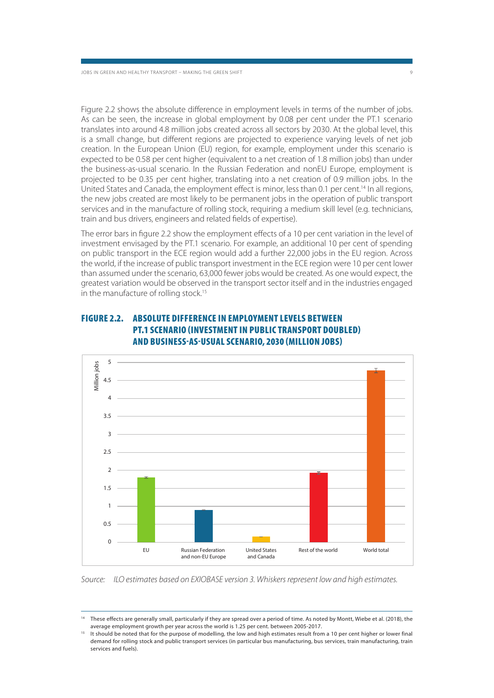Figure 2.2 shows the absolute difference in employment levels in terms of the number of jobs. As can be seen, the increase in global employment by 0.08 per cent under the PT.1 scenario translates into around 4.8 million jobs created across all sectors by 2030. At the global level, this is a small change, but different regions are projected to experience varying levels of net job creation. In the European Union (EU) region, for example, employment under this scenario is expected to be 0.58 per cent higher (equivalent to a net creation of 1.8 million jobs) than under the business-as-usual scenario. In the Russian Federation and nonEU Europe, employment is projected to be 0.35 per cent higher, translating into a net creation of 0.9 million jobs. In the United States and Canada, the employment effect is minor, less than 0.1 per cent.<sup>14</sup> In all regions, the new jobs created are most likely to be permanent jobs in the operation of public transport services and in the manufacture of rolling stock, requiring a medium skill level (e.g. technicians, train and bus drivers, engineers and related fields of expertise).

The error bars in figure 2.2 show the employment effects of a 10 per cent variation in the level of investment envisaged by the PT.1 scenario. For example, an additional 10 per cent of spending on public transport in the ECE region would add a further 22,000 jobs in the EU region. Across the world, if the increase of public transport investment in the ECE region were 10 per cent lower than assumed under the scenario, 63,000 fewer jobs would be created. As one would expect, the greatest variation would be observed in the transport sector itself and in the industries engaged in the manufacture of rolling stock.<sup>15</sup>



### **FIGURE 2.2. ABSOLUTE DIFFERENCE IN EMPLOYMENT LEVELS BETWEEN PT.1 SCENARIO (INVESTMENT IN PUBLIC TRANSPORT DOUBLED) AND BUSINESS-AS-USUAL SCENARIO, 2030 (MILLION JOBS)**

Source: ILO estimates based on EXIOBASE version 3. Whiskers represent low and high estimates.

These effects are generally small, particularly if they are spread over a period of time. As noted by Montt, Wiebe et al. (2018), the average employment growth per year across the world is 1.25 per cent. between 2005-2017.<br>It should be noted that for the purpose of modelling, the low and high estimates result from a 10 per cent higher or lower final

demand for rolling stock and public transport services (in particular bus manufacturing, bus services, train manufacturing, train services and fuels).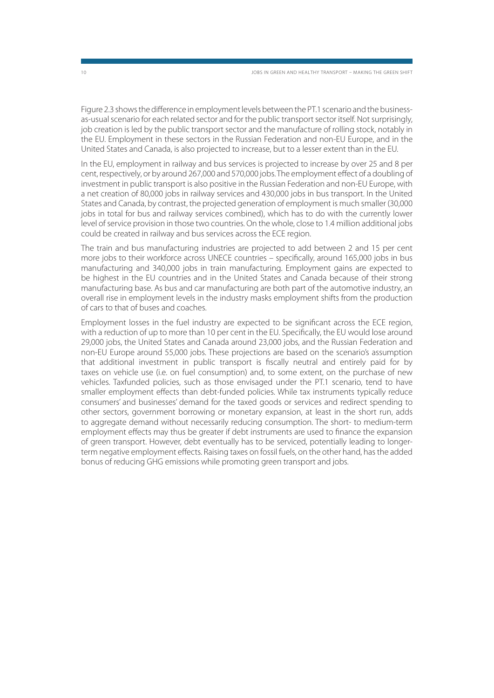Figure 2.3 shows the difference in employment levels between the PT.1 scenario and the businessas-usual scenario for each related sector and for the public transport sector itself. Not surprisingly, job creation is led by the public transport sector and the manufacture of rolling stock, notably in the EU. Employment in these sectors in the Russian Federation and non-EU Europe, and in the United States and Canada, is also projected to increase, but to a lesser extent than in the EU.

In the EU, employment in railway and bus services is projected to increase by over 25 and 8 per cent, respectively, or by around 267,000 and 570,000 jobs. The employment effect of a doubling of investment in public transport is also positive in the Russian Federation and non-EU Europe, with a net creation of 80,000 jobs in railway services and 430,000 jobs in bus transport. In the United States and Canada, by contrast, the projected generation of employment is much smaller (30,000 jobs in total for bus and railway services combined), which has to do with the currently lower level of service provision in those two countries. On the whole, close to 1.4 million additional jobs could be created in railway and bus services across the ECE region.

The train and bus manufacturing industries are projected to add between 2 and 15 per cent more jobs to their workforce across UNECE countries – specifically, around 165,000 jobs in bus manufacturing and 340,000 jobs in train manufacturing. Employment gains are expected to be highest in the EU countries and in the United States and Canada because of their strong manufacturing base. As bus and car manufacturing are both part of the automotive industry, an overall rise in employment levels in the industry masks employment shifts from the production of cars to that of buses and coaches.

Employment losses in the fuel industry are expected to be significant across the ECE region, with a reduction of up to more than 10 per cent in the EU. Specifically, the EU would lose around 29,000 jobs, the United States and Canada around 23,000 jobs, and the Russian Federation and non-EU Europe around 55,000 jobs. These projections are based on the scenario's assumption that additional investment in public transport is fiscally neutral and entirely paid for by taxes on vehicle use (i.e. on fuel consumption) and, to some extent, on the purchase of new vehicles. Taxfunded policies, such as those envisaged under the PT.1 scenario, tend to have smaller employment effects than debt-funded policies. While tax instruments typically reduce consumers' and businesses' demand for the taxed goods or services and redirect spending to other sectors, government borrowing or monetary expansion, at least in the short run, adds to aggregate demand without necessarily reducing consumption. The short- to medium-term employment effects may thus be greater if debt instruments are used to finance the expansion of green transport. However, debt eventually has to be serviced, potentially leading to longerterm negative employment effects. Raising taxes on fossil fuels, on the other hand, has the added bonus of reducing GHG emissions while promoting green transport and jobs.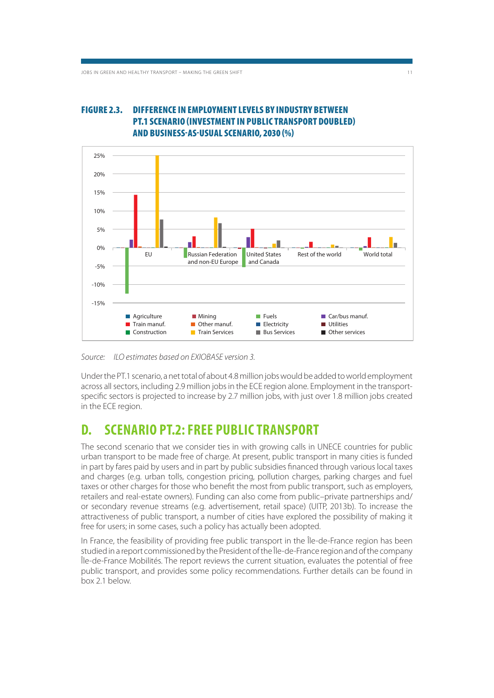### **FIGURE 2.3. DIFFERENCE IN EMPLOYMENT LEVELS BY INDUSTRY BETWEEN PT.1 SCENARIO (INVESTMENT IN PUBLIC TRANSPORT DOUBLED) AND BUSINESS-AS-USUAL SCENARIO, 2030 (%)**



Source: ILO estimates based on EXIOBASE version 3.

Under the PT.1 scenario, a net total of about 4.8 million jobs would be added to world employment across all sectors, including 2.9 million jobs in the ECE region alone. Employment in the transportspecific sectors is projected to increase by 2.7 million jobs, with just over 1.8 million jobs created in the ECE region.

### **D. SCENARIO PT.2: FREE PUBLIC TRANSPORT**

The second scenario that we consider ties in with growing calls in UNECE countries for public urban transport to be made free of charge. At present, public transport in many cities is funded in part by fares paid by users and in part by public subsidies financed through various local taxes and charges (e.g. urban tolls, congestion pricing, pollution charges, parking charges and fuel taxes or other charges for those who benefit the most from public transport, such as employers, retailers and real-estate owners). Funding can also come from public–private partnerships and/ or secondary revenue streams (e.g. advertisement, retail space) (UITP, 2013b). To increase the attractiveness of public transport, a number of cities have explored the possibility of making it free for users; in some cases, such a policy has actually been adopted.

In France, the feasibility of providing free public transport in the Île-de-France region has been studied in a report commissioned by the President of the Île-de-France region and of the company Île-de-France Mobilités. The report reviews the current situation, evaluates the potential of free public transport, and provides some policy recommendations. Further details can be found in box 2.1 below.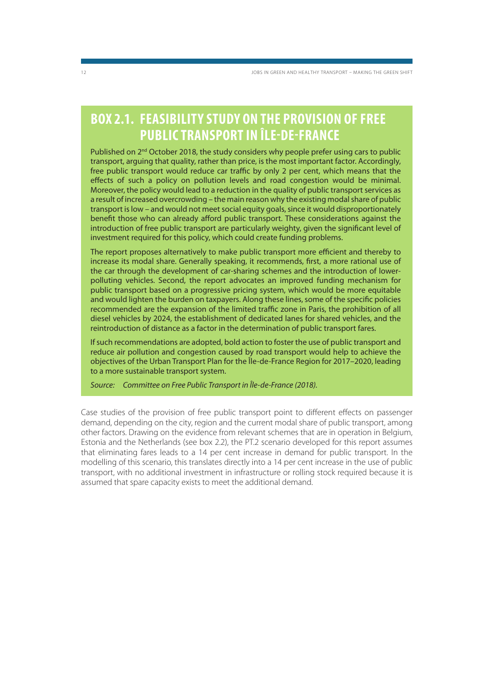### **BOX 2.1. FEASIBILITY STUDY ON THE PROVISION OF FREE PUBLIC TRANSPORT IN ÎLE-DE-FRANCE**

Published on 2<sup>nd</sup> October 2018, the study considers why people prefer using cars to public transport, arguing that quality, rather than price, is the most important factor. Accordingly, free public transport would reduce car traffic by only 2 per cent, which means that the effects of such a policy on pollution levels and road congestion would be minimal. Moreover, the policy would lead to a reduction in the quality of public transport services as a result of increased overcrowding – the main reason why the existing modal share of public transport is low – and would not meet social equity goals, since it would disproportionately benefit those who can already afford public transport. These considerations against the introduction of free public transport are particularly weighty, given the significant level of investment required for this policy, which could create funding problems.

The report proposes alternatively to make public transport more efficient and thereby to increase its modal share. Generally speaking, it recommends, first, a more rational use of the car through the development of car-sharing schemes and the introduction of lowerpolluting vehicles. Second, the report advocates an improved funding mechanism for public transport based on a progressive pricing system, which would be more equitable and would lighten the burden on taxpayers. Along these lines, some of the specific policies recommended are the expansion of the limited traffic zone in Paris, the prohibition of all diesel vehicles by 2024, the establishment of dedicated lanes for shared vehicles, and the reintroduction of distance as a factor in the determination of public transport fares.

If such recommendations are adopted, bold action to foster the use of public transport and reduce air pollution and congestion caused by road transport would help to achieve the objectives of the Urban Transport Plan for the Île-de-France Region for 2017–2020, leading to a more sustainable transport system.

Source: Committee on Free Public Transport in Île-de-France (2018).

Case studies of the provision of free public transport point to different effects on passenger demand, depending on the city, region and the current modal share of public transport, among other factors. Drawing on the evidence from relevant schemes that are in operation in Belgium, Estonia and the Netherlands (see box 2.2), the PT.2 scenario developed for this report assumes that eliminating fares leads to a 14 per cent increase in demand for public transport. In the modelling of this scenario, this translates directly into a 14 per cent increase in the use of public transport, with no additional investment in infrastructure or rolling stock required because it is assumed that spare capacity exists to meet the additional demand.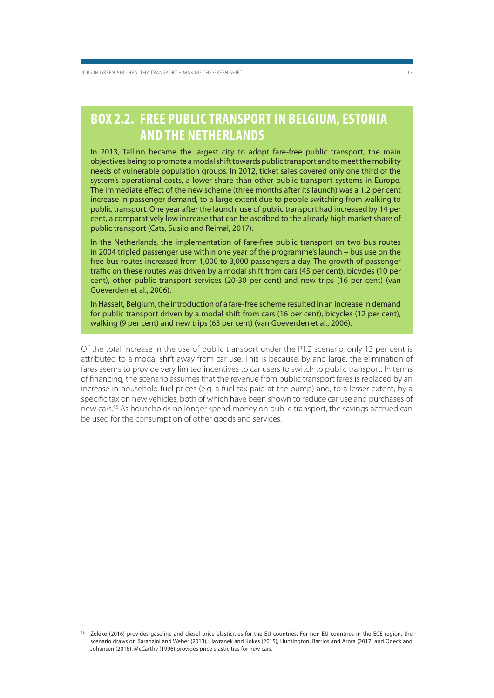### **BOX 2.2. FREE PUBLIC TRANSPORT IN BELGIUM, ESTONIA AND THE NETHERLANDS**

In 2013, Tallinn became the largest city to adopt fare-free public transport, the main objectives being to promote a modal shift towards public transport and to meet the mobility needs of vulnerable population groups. In 2012, ticket sales covered only one third of the system's operational costs, a lower share than other public transport systems in Europe. The immediate effect of the new scheme (three months after its launch) was a 1.2 per cent increase in passenger demand, to a large extent due to people switching from walking to public transport. One year after the launch, use of public transport had increased by 14 per cent, a comparatively low increase that can be ascribed to the already high market share of public transport (Cats, Susilo and Reimal, 2017).

In the Netherlands, the implementation of fare-free public transport on two bus routes in 2004 tripled passenger use within one year of the programme's launch – bus use on the free bus routes increased from 1,000 to 3,000 passengers a day. The growth of passenger traffic on these routes was driven by a modal shift from cars (45 per cent), bicycles (10 per cent), other public transport services (20-30 per cent) and new trips (16 per cent) (van Goeverden et al., 2006).

In Hasselt, Belgium, the introduction of a fare-free scheme resulted in an increase in demand for public transport driven by a modal shift from cars (16 per cent), bicycles (12 per cent), walking (9 per cent) and new trips (63 per cent) (van Goeverden et al., 2006).

Of the total increase in the use of public transport under the PT.2 scenario, only 13 per cent is attributed to a modal shift away from car use. This is because, by and large, the elimination of fares seems to provide very limited incentives to car users to switch to public transport. In terms of financing, the scenario assumes that the revenue from public transport fares is replaced by an increase in household fuel prices (e.g. a fuel tax paid at the pump) and, to a lesser extent, by a specific tax on new vehicles, both of which have been shown to reduce car use and purchases of new cars.16 As households no longer spend money on public transport, the savings accrued can be used for the consumption of other goods and services.

<sup>16</sup> Zeleke (2016) provides gasoline and diesel price elasticities for the EU countries. For non-EU countries in the ECE region, the scenario draws on Baranzini and Weber (2013), Havranek and Kokes (2015), Huntington, Barrios and Arora (2017) and Odeck and Johansen (2016). McCarthy (1996) provides price elasticities for new cars.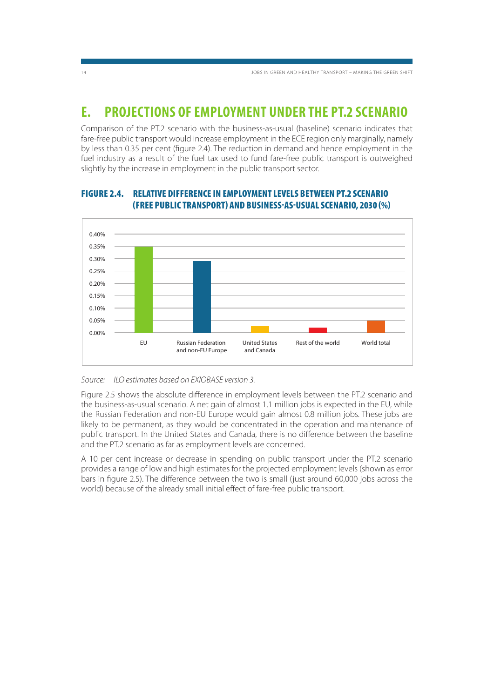### **E. PROJECTIONS OF EMPLOYMENT UNDER THE PT.2 SCENARIO**

Comparison of the PT.2 scenario with the business-as-usual (baseline) scenario indicates that fare-free public transport would increase employment in the ECE region only marginally, namely by less than 0.35 per cent (figure 2.4). The reduction in demand and hence employment in the fuel industry as a result of the fuel tax used to fund fare-free public transport is outweighed slightly by the increase in employment in the public transport sector.



### **FIGURE 2.4. RELATIVE DIFFERENCE IN EMPLOYMENT LEVELS BETWEEN PT.2 SCENARIO (FREE PUBLIC TRANSPORT) AND BUSINESS-AS-USUAL SCENARIO, 2030 (%)**

#### Source: ILO estimates based on EXIOBASE version 3.

Figure 2.5 shows the absolute difference in employment levels between the PT.2 scenario and the business-as-usual scenario. A net gain of almost 1.1 million jobs is expected in the EU, while the Russian Federation and non-EU Europe would gain almost 0.8 million jobs. These jobs are likely to be permanent, as they would be concentrated in the operation and maintenance of public transport. In the United States and Canada, there is no difference between the baseline and the PT.2 scenario as far as employment levels are concerned.

A 10 per cent increase or decrease in spending on public transport under the PT.2 scenario provides a range of low and high estimates for the projected employment levels (shown as error bars in figure 2.5). The difference between the two is small (just around 60,000 jobs across the world) because of the already small initial effect of fare-free public transport.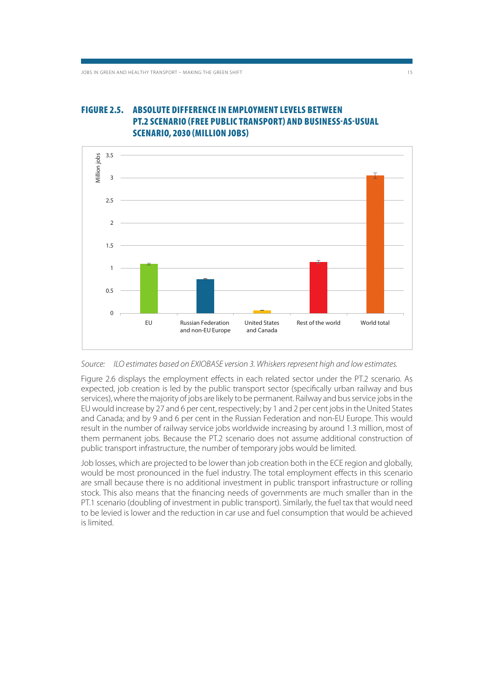### **FIGURE 2.5. ABSOLUTE DIFFERENCE IN EMPLOYMENT LEVELS BETWEEN PT.2 SCENARIO (FREE PUBLIC TRANSPORT) AND BUSINESS-AS-USUAL SCENARIO, 2030 (MILLION JOBS)**



Source: ILO estimates based on EXIOBASE version 3. Whiskers represent high and low estimates.

Figure 2.6 displays the employment effects in each related sector under the PT.2 scenario. As expected, job creation is led by the public transport sector (specifically urban railway and bus services), where the majority of jobs are likely to be permanent. Railway and bus service jobs in the EU would increase by 27 and 6 per cent, respectively; by 1 and 2 per cent jobs in the United States and Canada; and by 9 and 6 per cent in the Russian Federation and non-EU Europe. This would result in the number of railway service jobs worldwide increasing by around 1.3 million, most of them permanent jobs. Because the PT.2 scenario does not assume additional construction of public transport infrastructure, the number of temporary jobs would be limited.

Job losses, which are projected to be lower than job creation both in the ECE region and globally, would be most pronounced in the fuel industry. The total employment effects in this scenario are small because there is no additional investment in public transport infrastructure or rolling stock. This also means that the financing needs of governments are much smaller than in the PT.1 scenario (doubling of investment in public transport). Similarly, the fuel tax that would need to be levied is lower and the reduction in car use and fuel consumption that would be achieved is limited.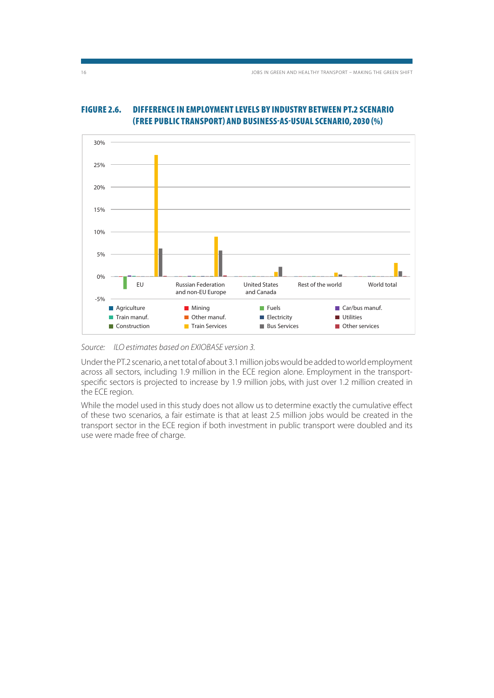

#### **FIGURE 2.6. DIFFERENCE IN EMPLOYMENT LEVELS BY INDUSTRY BETWEEN PT.2 SCENARIO (FREE PUBLIC TRANSPORT) AND BUSINESS-AS-USUAL SCENARIO, 2030 (%)**

Source: ILO estimates based on EXIOBASE version 3.

Under the PT.2 scenario, a net total of about 3.1 million jobs would be added to world employment across all sectors, including 1.9 million in the ECE region alone. Employment in the transportspecific sectors is projected to increase by 1.9 million jobs, with just over 1.2 million created in the ECE region.

While the model used in this study does not allow us to determine exactly the cumulative effect of these two scenarios, a fair estimate is that at least 2.5 million jobs would be created in the transport sector in the ECE region if both investment in public transport were doubled and its use were made free of charge.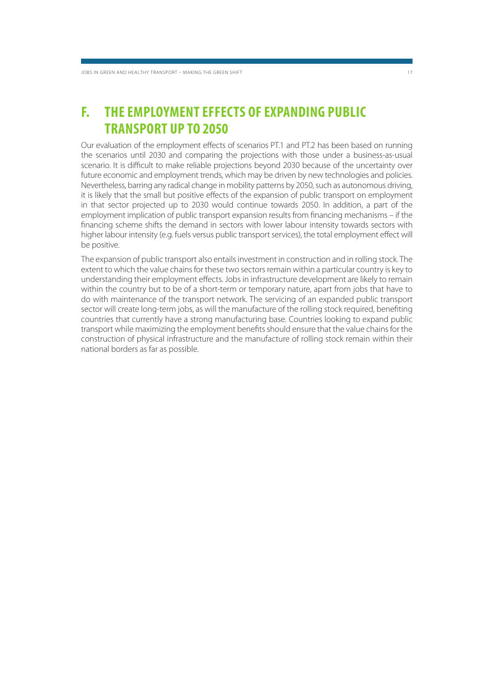### **F. THE EMPLOYMENT EFFECTS OF EXPANDING PUBLIC TRANSPORT UP TO 2050**

Our evaluation of the employment effects of scenarios PT.1 and PT.2 has been based on running the scenarios until 2030 and comparing the projections with those under a business-as-usual scenario. It is difficult to make reliable projections beyond 2030 because of the uncertainty over future economic and employment trends, which may be driven by new technologies and policies. Nevertheless, barring any radical change in mobility patterns by 2050, such as autonomous driving, it is likely that the small but positive effects of the expansion of public transport on employment in that sector projected up to 2030 would continue towards 2050. In addition, a part of the employment implication of public transport expansion results from financing mechanisms – if the financing scheme shifts the demand in sectors with lower labour intensity towards sectors with higher labour intensity (e.g. fuels versus public transport services), the total employment effect will be positive.

The expansion of public transport also entails investment in construction and in rolling stock. The extent to which the value chains for these two sectors remain within a particular country is key to understanding their employment effects. Jobs in infrastructure development are likely to remain within the country but to be of a short-term or temporary nature, apart from jobs that have to do with maintenance of the transport network. The servicing of an expanded public transport sector will create long-term jobs, as will the manufacture of the rolling stock required, benefiting countries that currently have a strong manufacturing base. Countries looking to expand public transport while maximizing the employment benefits should ensure that the value chains for the construction of physical infrastructure and the manufacture of rolling stock remain within their national borders as far as possible.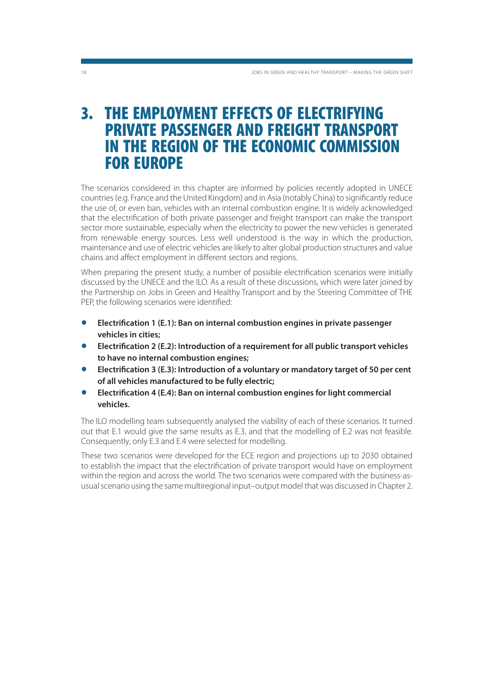### **3. THE EMPLOYMENT EFFECTS OF ELECTRIFYING PRIVATE PASSENGER AND FREIGHT TRANSPORT IN THE REGION OF THE ECONOMIC COMMISSION FOR EUROPE**

The scenarios considered in this chapter are informed by policies recently adopted in UNECE countries (e.g. France and the United Kingdom) and in Asia (notably China) to significantly reduce the use of, or even ban, vehicles with an internal combustion engine. It is widely acknowledged that the electrification of both private passenger and freight transport can make the transport sector more sustainable, especially when the electricity to power the new vehicles is generated from renewable energy sources. Less well understood is the way in which the production, maintenance and use of electric vehicles are likely to alter global production structures and value chains and affect employment in different sectors and regions.

When preparing the present study, a number of possible electrification scenarios were initially discussed by the UNECE and the ILO. As a result of these discussions, which were later joined by the Partnership on Jobs in Green and Healthy Transport and by the Steering Committee of THE PEP, the following scenarios were identified:

- **Electrification 1 (E.1): Ban on internal combustion engines in private passenger vehicles in cities;**
- **Electrification 2 (E.2): Introduction of a requirement for all public transport vehicles to have no internal combustion engines;**
- **Electrification 3 (E.3): Introduction of a voluntary or mandatory target of 50 per cent of all vehicles manufactured to be fully electric;**
- **Electrification 4 (E.4): Ban on internal combustion engines for light commercial vehicles.**

The ILO modelling team subsequently analysed the viability of each of these scenarios. It turned out that E.1 would give the same results as E.3, and that the modelling of E.2 was not feasible. Consequently, only E.3 and E.4 were selected for modelling.

These two scenarios were developed for the ECE region and projections up to 2030 obtained to establish the impact that the electrification of private transport would have on employment within the region and across the world. The two scenarios were compared with the business-asusual scenario using the same multiregional input–output model that was discussed in Chapter 2.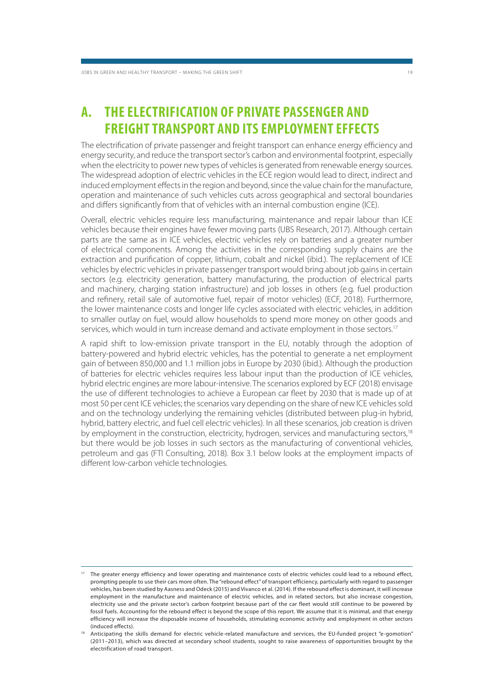### **A. THE ELECTRIFICATION OF PRIVATE PASSENGER AND FREIGHT TRANSPORT AND ITS EMPLOYMENT EFFECTS**

The electrification of private passenger and freight transport can enhance energy efficiency and energy security, and reduce the transport sector's carbon and environmental footprint, especially when the electricity to power new types of vehicles is generated from renewable energy sources. The widespread adoption of electric vehicles in the ECE region would lead to direct, indirect and induced employment effects in the region and beyond, since the value chain for the manufacture, operation and maintenance of such vehicles cuts across geographical and sectoral boundaries and differs significantly from that of vehicles with an internal combustion engine (ICE).

Overall, electric vehicles require less manufacturing, maintenance and repair labour than ICE vehicles because their engines have fewer moving parts (UBS Research, 2017). Although certain parts are the same as in ICE vehicles, electric vehicles rely on batteries and a greater number of electrical components. Among the activities in the corresponding supply chains are the extraction and purification of copper, lithium, cobalt and nickel (ibid.). The replacement of ICE vehicles by electric vehicles in private passenger transport would bring about job gains in certain sectors (e.g. electricity generation, battery manufacturing, the production of electrical parts and machinery, charging station infrastructure) and job losses in others (e.g. fuel production and refinery, retail sale of automotive fuel, repair of motor vehicles) (ECF, 2018). Furthermore, the lower maintenance costs and longer life cycles associated with electric vehicles, in addition to smaller outlay on fuel, would allow households to spend more money on other goods and services, which would in turn increase demand and activate employment in those sectors.<sup>17</sup>

A rapid shift to low-emission private transport in the EU, notably through the adoption of battery-powered and hybrid electric vehicles, has the potential to generate a net employment gain of between 850,000 and 1.1 million jobs in Europe by 2030 (ibid.). Although the production of batteries for electric vehicles requires less labour input than the production of ICE vehicles, hybrid electric engines are more labour-intensive. The scenarios explored by ECF (2018) envisage the use of different technologies to achieve a European car fleet by 2030 that is made up of at most 50 per cent ICE vehicles; the scenarios vary depending on the share of new ICE vehicles sold and on the technology underlying the remaining vehicles (distributed between plug-in hybrid, hybrid, battery electric, and fuel cell electric vehicles). In all these scenarios, job creation is driven by employment in the construction, electricity, hydrogen, services and manufacturing sectors,<sup>18</sup> but there would be job losses in such sectors as the manufacturing of conventional vehicles, petroleum and gas (FTI Consulting, 2018). Box 3.1 below looks at the employment impacts of different low-carbon vehicle technologies.

<sup>17</sup> The greater energy efficiency and lower operating and maintenance costs of electric vehicles could lead to a rebound effect, prompting people to use their cars more often. The "rebound effect" of transport efficiency, particularly with regard to passenger vehicles, has been studied by Aasness and Odeck (2015) and Vivanco et al. (2014). If the rebound effect is dominant, it will increase employment in the manufacture and maintenance of electric vehicles, and in related sectors, but also increase congestion, electricity use and the private sector's carbon footprint because part of the car fleet would still continue to be powered by fossil fuels. Accounting for the rebound effect is beyond the scope of this report. We assume that it is minimal, and that energy efficiency will increase the disposable income of households, stimulating economic activity and employment in other sectors (induced effects).

<sup>18</sup> Anticipating the skills demand for electric vehicle-related manufacture and services, the EU-funded project "e-gomotion" (2011–2013), which was directed at secondary school students, sought to raise awareness of opportunities brought by the electrification of road transport.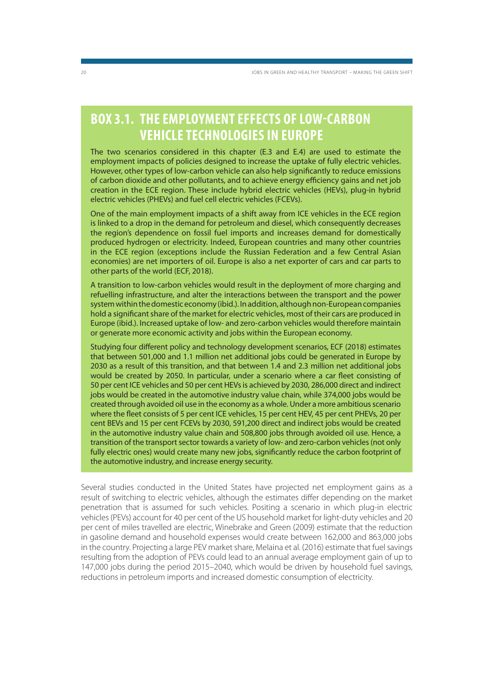### **BOX 3.1. THE EMPLOYMENT EFFECTS OF LOW-CARBON VEHICLE TECHNOLOGIES IN EUROPE**

The two scenarios considered in this chapter (E.3 and E.4) are used to estimate the employment impacts of policies designed to increase the uptake of fully electric vehicles. However, other types of low-carbon vehicle can also help significantly to reduce emissions of carbon dioxide and other pollutants, and to achieve energy efficiency gains and net job creation in the ECE region. These include hybrid electric vehicles (HEVs), plug-in hybrid electric vehicles (PHEVs) and fuel cell electric vehicles (FCEVs).

One of the main employment impacts of a shift away from ICE vehicles in the ECE region is linked to a drop in the demand for petroleum and diesel, which consequently decreases the region's dependence on fossil fuel imports and increases demand for domestically produced hydrogen or electricity. Indeed, European countries and many other countries in the ECE region (exceptions include the Russian Federation and a few Central Asian economies) are net importers of oil. Europe is also a net exporter of cars and car parts to other parts of the world (ECF, 2018).

A transition to low-carbon vehicles would result in the deployment of more charging and refuelling infrastructure, and alter the interactions between the transport and the power system within the domestic economy (ibid.). In addition, although non-European companies hold a significant share of the market for electric vehicles, most of their cars are produced in Europe (ibid.). Increased uptake of low- and zero-carbon vehicles would therefore maintain or generate more economic activity and jobs within the European economy.

Studying four different policy and technology development scenarios, ECF (2018) estimates that between 501,000 and 1.1 million net additional jobs could be generated in Europe by 2030 as a result of this transition, and that between 1.4 and 2.3 million net additional jobs would be created by 2050. In particular, under a scenario where a car fleet consisting of 50 per cent ICE vehicles and 50 per cent HEVs is achieved by 2030, 286,000 direct and indirect jobs would be created in the automotive industry value chain, while 374,000 jobs would be created through avoided oil use in the economy as a whole. Under a more ambitious scenario where the fleet consists of 5 per cent ICE vehicles, 15 per cent HEV, 45 per cent PHEVs, 20 per cent BEVs and 15 per cent FCEVs by 2030, 591,200 direct and indirect jobs would be created in the automotive industry value chain and 508,800 jobs through avoided oil use. Hence, a transition of the transport sector towards a variety of low- and zero-carbon vehicles (not only fully electric ones) would create many new jobs, significantly reduce the carbon footprint of the automotive industry, and increase energy security.

Several studies conducted in the United States have projected net employment gains as a result of switching to electric vehicles, although the estimates differ depending on the market penetration that is assumed for such vehicles. Positing a scenario in which plug-in electric vehicles (PEVs) account for 40 per cent of the US household market for light-duty vehicles and 20 per cent of miles travelled are electric, Winebrake and Green (2009) estimate that the reduction in gasoline demand and household expenses would create between 162,000 and 863,000 jobs in the country. Projecting a large PEV market share, Melaina et al. (2016) estimate that fuel savings resulting from the adoption of PEVs could lead to an annual average employment gain of up to 147,000 jobs during the period 2015–2040, which would be driven by household fuel savings, reductions in petroleum imports and increased domestic consumption of electricity.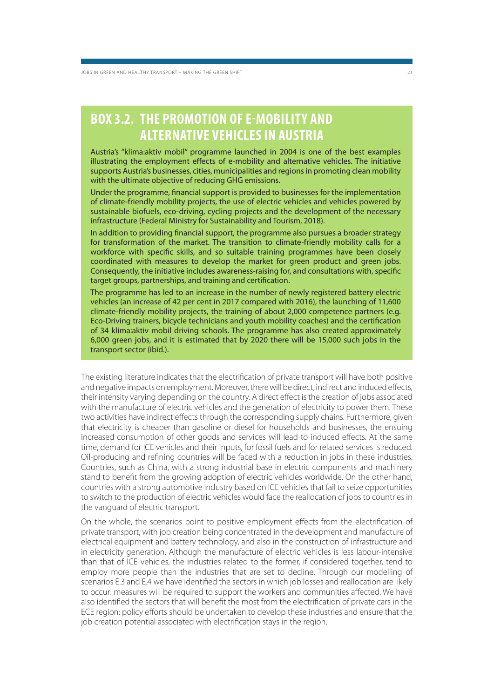### **BOX 3.2. THE PROMOTION OF E-MOBILITY AND ALTERNATIVE VEHICLES IN AUSTRIA**

Austria's "klima:aktiv mobil" programme launched in 2004 is one of the best examples illustrating the employment effects of e-mobility and alternative vehicles. The initiative supports Austria's businesses, cities, municipalities and regions in promoting clean mobility with the ultimate objective of reducing GHG emissions.

Under the programme, financial support is provided to businesses for the implementation of climate-friendly mobility projects, the use of electric vehicles and vehicles powered by sustainable biofuels, eco-driving, cycling projects and the development of the necessary infrastructure (Federal Ministry for Sustainability and Tourism, 2018).

In addition to providing financial support, the programme also pursues a broader strategy for transformation of the market. The transition to climate-friendly mobility calls for a workforce with specific skills, and so suitable training programmes have been closely coordinated with measures to develop the market for green product and green jobs. Consequently, the initiative includes awareness-raising for, and consultations with, specific target groups, partnerships, and training and certification.

The programme has led to an increase in the number of newly registered battery electric vehicles (an increase of 42 per cent in 2017 compared with 2016), the launching of 11,600 climate-friendly mobility projects, the training of about 2,000 competence partners (e.g. Eco-Driving trainers, bicycle technicians and youth mobility coaches) and the certification of 34 klima:aktiv mobil driving schools. The programme has also created approximately 6,000 green jobs, and it is estimated that by 2020 there will be 15,000 such jobs in the transport sector (ibid.).

The existing literature indicates that the electrification of private transport will have both positive and negative impacts on employment. Moreover, there will be direct, indirect and induced effects, their intensity varying depending on the country. A direct effect is the creation of jobs associated with the manufacture of electric vehicles and the generation of electricity to power them. These two activities have indirect effects through the corresponding supply chains. Furthermore, given that electricity is cheaper than gasoline or diesel for households and businesses, the ensuing increased consumption of other goods and services will lead to induced effects. At the same time, demand for ICE vehicles and their inputs, for fossil fuels and for related services is reduced. Oil-producing and refining countries will be faced with a reduction in jobs in these industries. Countries, such as China, with a strong industrial base in electric components and machinery stand to benefit from the growing adoption of electric vehicles worldwide. On the other hand, countries with a strong automotive industry based on ICE vehicles that fail to seize opportunities to switch to the production of electric vehicles would face the reallocation of jobs to countries in the vanguard of electric transport.

On the whole, the scenarios point to positive employment effects from the electrification of private transport, with job creation being concentrated in the development and manufacture of electrical equipment and battery technology, and also in the construction of infrastructure and in electricity generation. Although the manufacture of electric vehicles is less labour-intensive than that of ICE vehicles, the industries related to the former, if considered together, tend to employ more people than the industries that are set to decline. Through our modelling of scenarios E.3 and E.4 we have identified the sectors in which job losses and reallocation are likely to occur: measures will be required to support the workers and communities affected. We have also identified the sectors that will benefit the most from the electrification of private cars in the ECE region: policy efforts should be undertaken to develop these industries and ensure that the job creation potential associated with electrification stays in the region.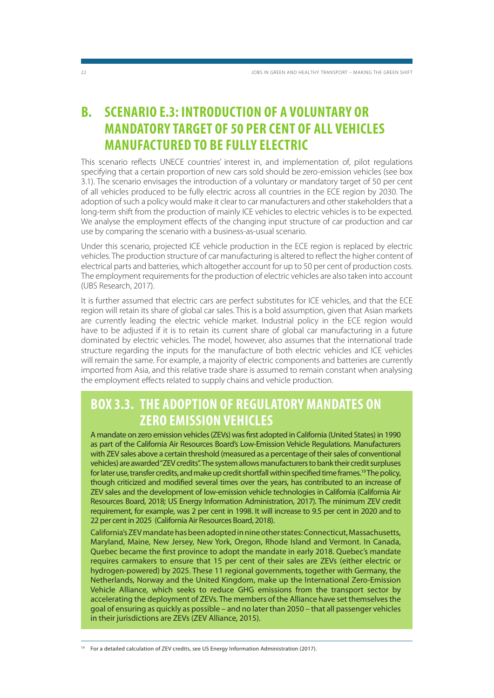### **B. SCENARIO E.3: INTRODUCTION OF A VOLUNTARY OR MANDATORY TARGET OF 50 PER CENT OF ALL VEHICLES MANUFACTURED TO BE FULLY ELECTRIC**

This scenario reflects UNECE countries' interest in, and implementation of, pilot regulations specifying that a certain proportion of new cars sold should be zero-emission vehicles (see box 3.1). The scenario envisages the introduction of a voluntary or mandatory target of 50 per cent of all vehicles produced to be fully electric across all countries in the ECE region by 2030. The adoption of such a policy would make it clear to car manufacturers and other stakeholders that a long-term shift from the production of mainly ICE vehicles to electric vehicles is to be expected. We analyse the employment effects of the changing input structure of car production and car use by comparing the scenario with a business-as-usual scenario.

Under this scenario, projected ICE vehicle production in the ECE region is replaced by electric vehicles. The production structure of car manufacturing is altered to reflect the higher content of electrical parts and batteries, which altogether account for up to 50 per cent of production costs. The employment requirements for the production of electric vehicles are also taken into account (UBS Research, 2017).

It is further assumed that electric cars are perfect substitutes for ICE vehicles, and that the ECE region will retain its share of global car sales. This is a bold assumption, given that Asian markets are currently leading the electric vehicle market. Industrial policy in the ECE region would have to be adjusted if it is to retain its current share of global car manufacturing in a future dominated by electric vehicles. The model, however, also assumes that the international trade structure regarding the inputs for the manufacture of both electric vehicles and ICE vehicles will remain the same. For example, a majority of electric components and batteries are currently imported from Asia, and this relative trade share is assumed to remain constant when analysing the employment effects related to supply chains and vehicle production.

### **BOX 3.3. THE ADOPTION OF REGULATORY MANDATES ON ZERO EMISSION VEHICLES**

A mandate on zero emission vehicles (ZEVs) was first adopted in California (United States) in 1990 as part of the California Air Resources Board's Low-Emission Vehicle Regulations. Manufacturers with ZEV sales above a certain threshold (measured as a percentage of their sales of conventional vehicles) are awarded "ZEV credits". The system allows manufacturers to bank their credit surpluses for later use, transfer credits, and make up credit shortfall within specified time frames.19 The policy, though criticized and modified several times over the years, has contributed to an increase of ZEV sales and the development of low-emission vehicle technologies in California (California Air Resources Board, 2018; US Energy Information Administration, 2017). The minimum ZEV credit requirement, for example, was 2 per cent in 1998. It will increase to 9.5 per cent in 2020 and to 22 per cent in 2025 (California Air Resources Board, 2018).

California's ZEV mandate has been adopted in nine other states: Connecticut, Massachusetts, Maryland, Maine, New Jersey, New York, Oregon, Rhode Island and Vermont. In Canada, Quebec became the first province to adopt the mandate in early 2018. Quebec's mandate requires carmakers to ensure that 15 per cent of their sales are ZEVs (either electric or hydrogen-powered) by 2025. These 11 regional governments, together with Germany, the Netherlands, Norway and the United Kingdom, make up the International Zero-Emission Vehicle Alliance, which seeks to reduce GHG emissions from the transport sector by accelerating the deployment of ZEVs. The members of the Alliance have set themselves the goal of ensuring as quickly as possible – and no later than 2050 – that all passenger vehicles in their jurisdictions are ZEVs (ZEV Alliance, 2015).

<sup>&</sup>lt;sup>19</sup> For a detailed calculation of ZEV credits, see US Energy Information Administration (2017).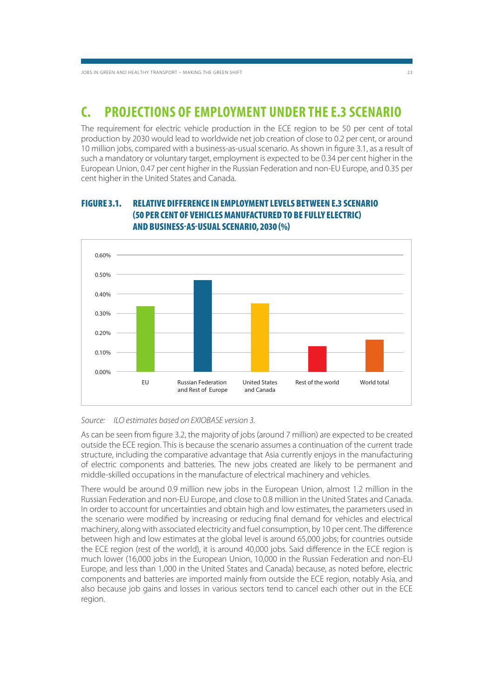### **C. PROJECTIONS OF EMPLOYMENT UNDER THE E.3 SCENARIO**

The requirement for electric vehicle production in the ECE region to be 50 per cent of total production by 2030 would lead to worldwide net job creation of close to 0.2 per cent, or around 10 million jobs, compared with a business-as-usual scenario. As shown in figure 3.1, as a result of such a mandatory or voluntary target, employment is expected to be 0.34 per cent higher in the European Union, 0.47 per cent higher in the Russian Federation and non-EU Europe, and 0.35 per cent higher in the United States and Canada.

# **(50 PER CENT OF VEHICLES MANUFACTURED TO BE FULLY ELECTRIC) AND BUSINESS-AS-USUAL SCENARIO, 2030 (%)**

**FIGURE 3.1. RELATIVE DIFFERENCE IN EMPLOYMENT LEVELS BETWEEN E.3 SCENARIO** 



#### Source: ILO estimates based on EXIOBASE version 3.

As can be seen from figure 3.2, the majority of jobs (around 7 million) are expected to be created outside the ECE region. This is because the scenario assumes a continuation of the current trade structure, including the comparative advantage that Asia currently enjoys in the manufacturing of electric components and batteries. The new jobs created are likely to be permanent and middle-skilled occupations in the manufacture of electrical machinery and vehicles.

There would be around 0.9 million new jobs in the European Union, almost 1.2 million in the Russian Federation and non-EU Europe, and close to 0.8 million in the United States and Canada. In order to account for uncertainties and obtain high and low estimates, the parameters used in the scenario were modified by increasing or reducing final demand for vehicles and electrical machinery, along with associated electricity and fuel consumption, by 10 per cent. The difference between high and low estimates at the global level is around 65,000 jobs; for countries outside the ECE region (rest of the world), it is around 40,000 jobs. Said difference in the ECE region is much lower (16,000 jobs in the European Union, 10,000 in the Russian Federation and non-EU Europe, and less than 1,000 in the United States and Canada) because, as noted before, electric components and batteries are imported mainly from outside the ECE region, notably Asia, and also because job gains and losses in various sectors tend to cancel each other out in the ECE region.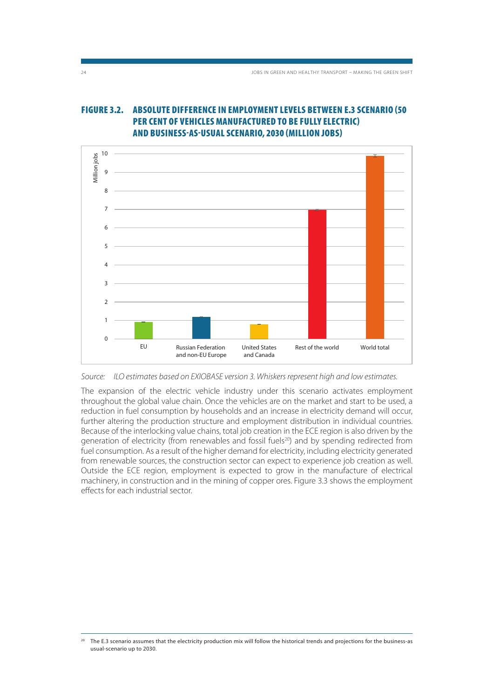### **FIGURE 3.2. ABSOLUTE DIFFERENCE IN EMPLOYMENT LEVELS BETWEEN E.3 SCENARIO (50 PER CENT OF VEHICLES MANUFACTURED TO BE FULLY ELECTRIC) AND BUSINESS-AS-USUAL SCENARIO, 2030 (MILLION JOBS)**



Source: ILO estimates based on EXIOBASE version 3. Whiskers represent high and low estimates.

The expansion of the electric vehicle industry under this scenario activates employment throughout the global value chain. Once the vehicles are on the market and start to be used, a reduction in fuel consumption by households and an increase in electricity demand will occur, further altering the production structure and employment distribution in individual countries. Because of the interlocking value chains, total job creation in the ECE region is also driven by the generation of electricity (from renewables and fossil fuels<sup>20</sup>) and by spending redirected from fuel consumption. As a result of the higher demand for electricity, including electricity generated from renewable sources, the construction sector can expect to experience job creation as well. Outside the ECE region, employment is expected to grow in the manufacture of electrical machinery, in construction and in the mining of copper ores. Figure 3.3 shows the employment effects for each industrial sector.

<sup>20</sup> The E.3 scenario assumes that the electricity production mix will follow the historical trends and projections for the business-as usual-scenario up to 2030.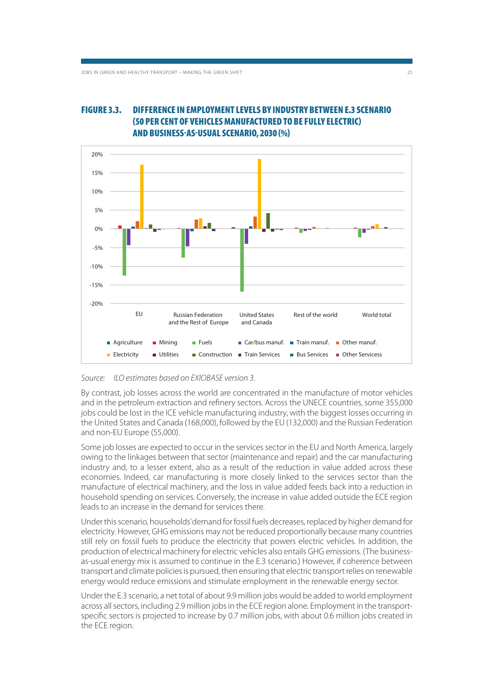

### **FIGURE 3.3. DIFFERENCE IN EMPLOYMENT LEVELS BY INDUSTRY BETWEEN E.3 SCENARIO (50 PER CENT OF VEHICLES MANUFACTURED TO BE FULLY ELECTRIC) AND BUSINESS-AS-USUAL SCENARIO, 2030 (%)**

Source: ILO estimates based on EXIOBASE version 3.

By contrast, job losses across the world are concentrated in the manufacture of motor vehicles and in the petroleum extraction and refinery sectors. Across the UNECE countries, some 355,000 jobs could be lost in the ICE vehicle manufacturing industry, with the biggest losses occurring in the United States and Canada (168,000), followed by the EU (132,000) and the Russian Federation and non-EU Europe (55,000).

Some job losses are expected to occur in the services sector in the EU and North America, largely owing to the linkages between that sector (maintenance and repair) and the car manufacturing industry and, to a lesser extent, also as a result of the reduction in value added across these economies. Indeed, car manufacturing is more closely linked to the services sector than the manufacture of electrical machinery, and the loss in value added feeds back into a reduction in household spending on services. Conversely, the increase in value added outside the ECE region leads to an increase in the demand for services there.

Under this scenario, households' demand for fossil fuels decreases, replaced by higher demand for electricity. However, GHG emissions may not be reduced proportionally because many countries still rely on fossil fuels to produce the electricity that powers electric vehicles. In addition, the production of electrical machinery for electric vehicles also entails GHG emissions. (The businessas-usual energy mix is assumed to continue in the E.3 scenario.) However, if coherence between transport and climate policies is pursued, then ensuring that electric transport relies on renewable energy would reduce emissions and stimulate employment in the renewable energy sector.

Under the E.3 scenario, a net total of about 9.9 million jobs would be added to world employment across all sectors, including 2.9 million jobs in the ECE region alone. Employment in the transportspecific sectors is projected to increase by 0.7 million jobs, with about 0.6 million jobs created in the ECE region.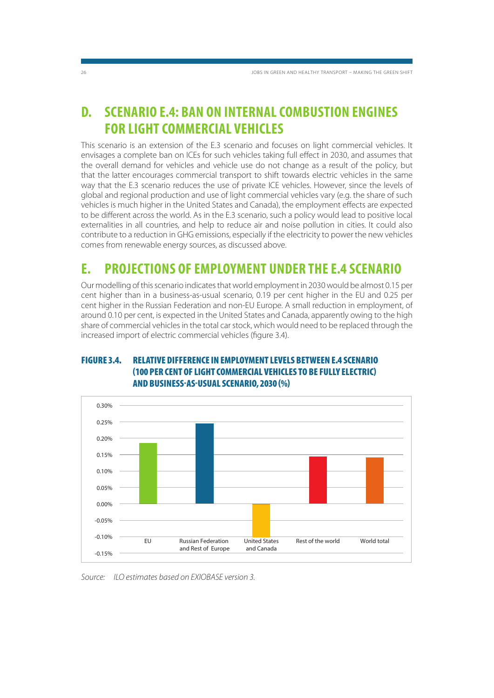### **D. SCENARIO E.4: BAN ON INTERNAL COMBUSTION ENGINES FOR LIGHT COMMERCIAL VEHICLES**

This scenario is an extension of the E.3 scenario and focuses on light commercial vehicles. It envisages a complete ban on ICEs for such vehicles taking full effect in 2030, and assumes that the overall demand for vehicles and vehicle use do not change as a result of the policy, but that the latter encourages commercial transport to shift towards electric vehicles in the same way that the E.3 scenario reduces the use of private ICE vehicles. However, since the levels of global and regional production and use of light commercial vehicles vary (e.g. the share of such vehicles is much higher in the United States and Canada), the employment effects are expected to be different across the world. As in the E.3 scenario, such a policy would lead to positive local externalities in all countries, and help to reduce air and noise pollution in cities. It could also contribute to a reduction in GHG emissions, especially if the electricity to power the new vehicles comes from renewable energy sources, as discussed above.

### **E. PROJECTIONS OF EMPLOYMENT UNDER THE E.4 SCENARIO**

Our modelling of this scenario indicates that world employment in 2030 would be almost 0.15 per cent higher than in a business-as-usual scenario, 0.19 per cent higher in the EU and 0.25 per cent higher in the Russian Federation and non-EU Europe. A small reduction in employment, of around 0.10 per cent, is expected in the United States and Canada, apparently owing to the high share of commercial vehicles in the total car stock, which would need to be replaced through the increased import of electric commercial vehicles (figure 3.4).

### **FIGURE 3.4. RELATIVE DIFFERENCE IN EMPLOYMENT LEVELS BETWEEN E.4 SCENARIO (100 PER CENT OF LIGHT COMMERCIAL VEHICLES TO BE FULLY ELECTRIC) AND BUSINESS-AS-USUAL SCENARIO, 2030 (%)**



Source: ILO estimates based on EXIOBASE version 3.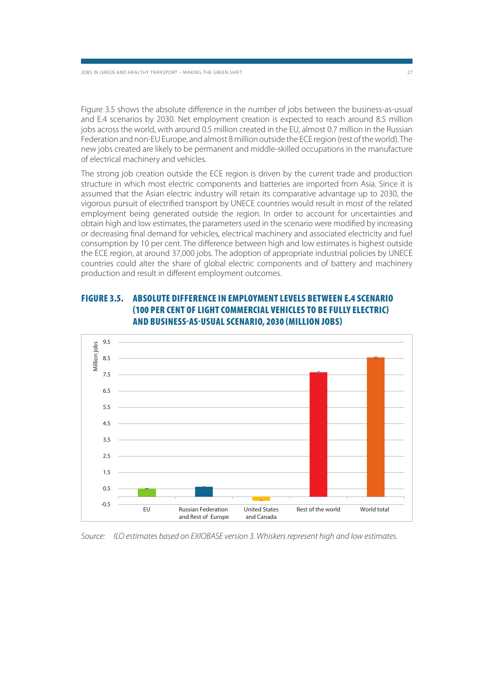Figure 3.5 shows the absolute difference in the number of jobs between the business-as-usual and E.4 scenarios by 2030. Net employment creation is expected to reach around 8.5 million jobs across the world, with around 0.5 million created in the EU, almost 0.7 million in the Russian Federation and non-EU Europe, and almost 8 million outside the ECE region (rest of the world). The new jobs created are likely to be permanent and middle-skilled occupations in the manufacture of electrical machinery and vehicles.

The strong job creation outside the ECE region is driven by the current trade and production structure in which most electric components and batteries are imported from Asia. Since it is assumed that the Asian electric industry will retain its comparative advantage up to 2030, the vigorous pursuit of electrified transport by UNECE countries would result in most of the related employment being generated outside the region. In order to account for uncertainties and obtain high and low estimates, the parameters used in the scenario were modified by increasing or decreasing final demand for vehicles, electrical machinery and associated electricity and fuel consumption by 10 per cent. The difference between high and low estimates is highest outside the ECE region, at around 37,000 jobs. The adoption of appropriate industrial policies by UNECE countries could alter the share of global electric components and of battery and machinery production and result in different employment outcomes.



### **FIGURE 3.5. ABSOLUTE DIFFERENCE IN EMPLOYMENT LEVELS BETWEEN E.4 SCENARIO (100 PER CENT OF LIGHT COMMERCIAL VEHICLES TO BE FULLY ELECTRIC) AND BUSINESS-AS-USUAL SCENARIO, 2030 (MILLION JOBS)**

Source: ILO estimates based on EXIOBASE version 3. Whiskers represent high and low estimates.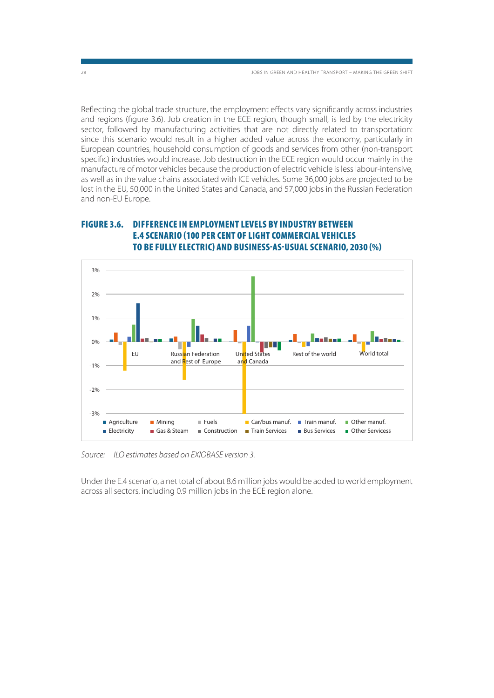28 JOBS IN GREEN AND HEALTHY TRANSPORT – MAKING THE GREEN SHIFT

Reflecting the global trade structure, the employment effects vary significantly across industries and regions (figure 3.6). Job creation in the ECE region, though small, is led by the electricity sector, followed by manufacturing activities that are not directly related to transportation: since this scenario would result in a higher added value across the economy, particularly in European countries, household consumption of goods and services from other (non-transport specific) industries would increase. Job destruction in the ECE region would occur mainly in the manufacture of motor vehicles because the production of electric vehicle is less labour-intensive, as well as in the value chains associated with ICE vehicles. Some 36,000 jobs are projected to be lost in the EU, 50,000 in the United States and Canada, and 57,000 jobs in the Russian Federation and non-EU Europe.





Source: ILO estimates based on EXIOBASE version 3.

Under the E.4 scenario, a net total of about 8.6 million jobs would be added to world employment across all sectors, including 0.9 million jobs in the ECE region alone.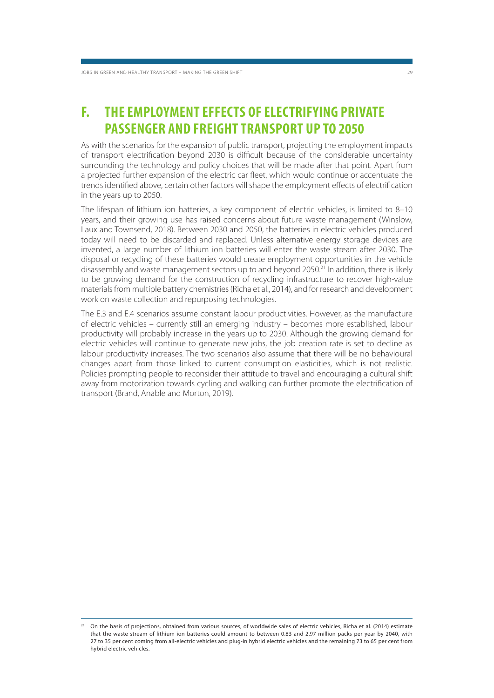### **F. THE EMPLOYMENT EFFECTS OF ELECTRIFYING PRIVATE PASSENGER AND FREIGHT TRANSPORT UP TO 2050**

As with the scenarios for the expansion of public transport, projecting the employment impacts of transport electrification beyond 2030 is difficult because of the considerable uncertainty surrounding the technology and policy choices that will be made after that point. Apart from a projected further expansion of the electric car fleet, which would continue or accentuate the trends identified above, certain other factors will shape the employment effects of electrification in the years up to 2050.

The lifespan of lithium ion batteries, a key component of electric vehicles, is limited to 8–10 years, and their growing use has raised concerns about future waste management (Winslow, Laux and Townsend, 2018). Between 2030 and 2050, the batteries in electric vehicles produced today will need to be discarded and replaced. Unless alternative energy storage devices are invented, a large number of lithium ion batteries will enter the waste stream after 2030. The disposal or recycling of these batteries would create employment opportunities in the vehicle disassembly and waste management sectors up to and beyond 2050.21 In addition, there is likely to be growing demand for the construction of recycling infrastructure to recover high-value materials from multiple battery chemistries (Richa et al., 2014), and for research and development work on waste collection and repurposing technologies.

The E.3 and E.4 scenarios assume constant labour productivities. However, as the manufacture of electric vehicles – currently still an emerging industry – becomes more established, labour productivity will probably increase in the years up to 2030. Although the growing demand for electric vehicles will continue to generate new jobs, the job creation rate is set to decline as labour productivity increases. The two scenarios also assume that there will be no behavioural changes apart from those linked to current consumption elasticities, which is not realistic. Policies prompting people to reconsider their attitude to travel and encouraging a cultural shift away from motorization towards cycling and walking can further promote the electrification of transport (Brand, Anable and Morton, 2019).

<sup>&</sup>lt;sup>21</sup> On the basis of projections, obtained from various sources, of worldwide sales of electric vehicles, Richa et al. (2014) estimate that the waste stream of lithium ion batteries could amount to between 0.83 and 2.97 million packs per year by 2040, with 27 to 35 per cent coming from all-electric vehicles and plug-in hybrid electric vehicles and the remaining 73 to 65 per cent from hybrid electric vehicles.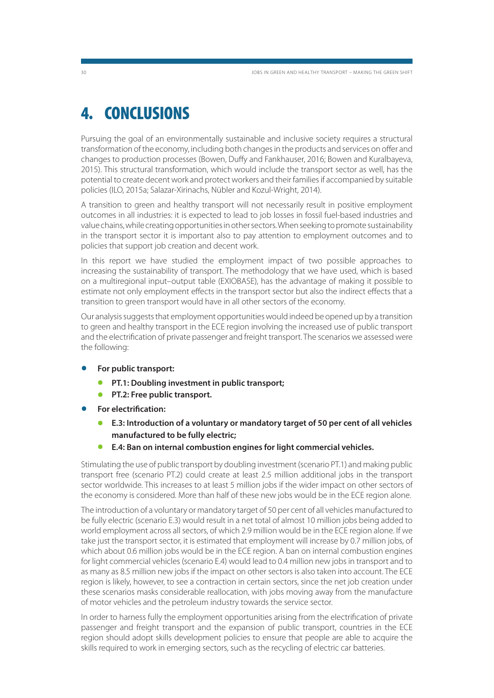# **4. CONCLUSIONS**

Pursuing the goal of an environmentally sustainable and inclusive society requires a structural transformation of the economy, including both changes in the products and services on offer and changes to production processes (Bowen, Duffy and Fankhauser, 2016; Bowen and Kuralbayeva, 2015). This structural transformation, which would include the transport sector as well, has the potential to create decent work and protect workers and their families if accompanied by suitable policies (ILO, 2015a; Salazar-Xirinachs, Nübler and Kozul-Wright, 2014).

A transition to green and healthy transport will not necessarily result in positive employment outcomes in all industries: it is expected to lead to job losses in fossil fuel-based industries and value chains, while creating opportunities in other sectors. When seeking to promote sustainability in the transport sector it is important also to pay attention to employment outcomes and to policies that support job creation and decent work.

In this report we have studied the employment impact of two possible approaches to increasing the sustainability of transport. The methodology that we have used, which is based on a multiregional input–output table (EXIOBASE), has the advantage of making it possible to estimate not only employment effects in the transport sector but also the indirect effects that a transition to green transport would have in all other sectors of the economy.

Our analysis suggests that employment opportunities would indeed be opened up by a transition to green and healthy transport in the ECE region involving the increased use of public transport and the electrification of private passenger and freight transport. The scenarios we assessed were the following:

- **For public transport:**
	- **PT.1: Doubling investment in public transport;**
	- **PT.2: Free public transport.**
- **For electrification:**
	- **E.3: Introduction of a voluntary or mandatory target of 50 per cent of all vehicles manufactured to be fully electric;**
	- **E.4: Ban on internal combustion engines for light commercial vehicles.**

Stimulating the use of public transport by doubling investment (scenario PT.1) and making public transport free (scenario PT.2) could create at least 2.5 million additional jobs in the transport sector worldwide. This increases to at least 5 million jobs if the wider impact on other sectors of the economy is considered. More than half of these new jobs would be in the ECE region alone.

The introduction of a voluntary or mandatory target of 50 per cent of all vehicles manufactured to be fully electric (scenario E.3) would result in a net total of almost 10 million jobs being added to world employment across all sectors, of which 2.9 million would be in the ECE region alone. If we take just the transport sector, it is estimated that employment will increase by 0.7 million jobs, of which about 0.6 million jobs would be in the ECE region. A ban on internal combustion engines for light commercial vehicles (scenario E.4) would lead to 0.4 million new jobs in transport and to as many as 8.5 million new jobs if the impact on other sectors is also taken into account. The ECE region is likely, however, to see a contraction in certain sectors, since the net job creation under these scenarios masks considerable reallocation, with jobs moving away from the manufacture of motor vehicles and the petroleum industry towards the service sector.

In order to harness fully the employment opportunities arising from the electrification of private passenger and freight transport and the expansion of public transport, countries in the ECE region should adopt skills development policies to ensure that people are able to acquire the skills required to work in emerging sectors, such as the recycling of electric car batteries.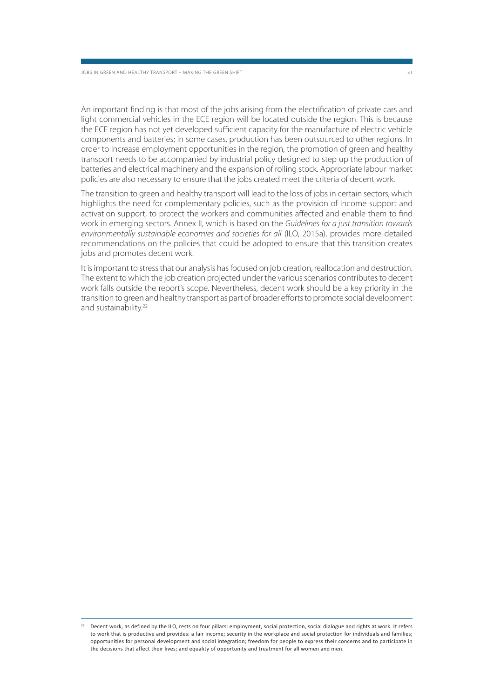An important finding is that most of the jobs arising from the electrification of private cars and light commercial vehicles in the ECE region will be located outside the region. This is because the ECE region has not yet developed sufficient capacity for the manufacture of electric vehicle components and batteries; in some cases, production has been outsourced to other regions. In order to increase employment opportunities in the region, the promotion of green and healthy transport needs to be accompanied by industrial policy designed to step up the production of batteries and electrical machinery and the expansion of rolling stock. Appropriate labour market policies are also necessary to ensure that the jobs created meet the criteria of decent work.

The transition to green and healthy transport will lead to the loss of jobs in certain sectors, which highlights the need for complementary policies, such as the provision of income support and activation support, to protect the workers and communities affected and enable them to find work in emerging sectors. Annex II, which is based on the Guidelines for a just transition towards environmentally sustainable economies and societies for all (ILO, 2015a), provides more detailed recommendations on the policies that could be adopted to ensure that this transition creates jobs and promotes decent work.

It is important to stress that our analysis has focused on job creation, reallocation and destruction. The extent to which the job creation projected under the various scenarios contributes to decent work falls outside the report's scope. Nevertheless, decent work should be a key priority in the transition to green and healthy transport as part of broader efforts to promote social development and sustainability.<sup>22</sup>

<sup>&</sup>lt;sup>22</sup> Decent work, as defined by the ILO, rests on four pillars: employment, social protection, social dialogue and rights at work. It refers to work that is productive and provides: a fair income; security in the workplace and social protection for individuals and families; opportunities for personal development and social integration; freedom for people to express their concerns and to participate in the decisions that affect their lives; and equality of opportunity and treatment for all women and men.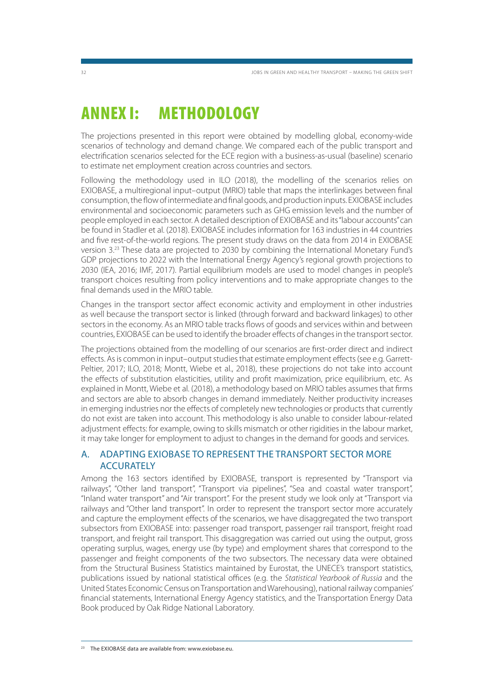# **ANNEX I: METHODOLOGY**

The projections presented in this report were obtained by modelling global, economy-wide scenarios of technology and demand change. We compared each of the public transport and electrification scenarios selected for the ECE region with a business-as-usual (baseline) scenario to estimate net employment creation across countries and sectors.

Following the methodology used in ILO (2018), the modelling of the scenarios relies on EXIOBASE, a multiregional input–output (MRIO) table that maps the interlinkages between final consumption, the flow of intermediate and final goods, and production inputs. EXIOBASE includes environmental and socioeconomic parameters such as GHG emission levels and the number of people employed in each sector. A detailed description of EXIOBASE and its "labour accounts" can be found in Stadler et al. (2018). EXIOBASE includes information for 163 industries in 44 countries and five rest-of-the-world regions. The present study draws on the data from 2014 in EXIOBASE version 3.23 These data are projected to 2030 by combining the International Monetary Fund's GDP projections to 2022 with the International Energy Agency's regional growth projections to 2030 (IEA, 2016; IMF, 2017). Partial equilibrium models are used to model changes in people's transport choices resulting from policy interventions and to make appropriate changes to the final demands used in the MRIO table.

Changes in the transport sector affect economic activity and employment in other industries as well because the transport sector is linked (through forward and backward linkages) to other sectors in the economy. As an MRIO table tracks flows of goods and services within and between countries, EXIOBASE can be used to identify the broader effects of changes in the transport sector.

The projections obtained from the modelling of our scenarios are first-order direct and indirect effects. As is common in input–output studies that estimate employment effects (see e.g. Garrett-Peltier, 2017; ILO, 2018; Montt, Wiebe et al., 2018), these projections do not take into account the effects of substitution elasticities, utility and profit maximization, price equilibrium, etc. As explained in Montt, Wiebe et al. (2018), a methodology based on MRIO tables assumes that firms and sectors are able to absorb changes in demand immediately. Neither productivity increases in emerging industries nor the effects of completely new technologies or products that currently do not exist are taken into account. This methodology is also unable to consider labour-related adjustment effects: for example, owing to skills mismatch or other rigidities in the labour market, it may take longer for employment to adjust to changes in the demand for goods and services.

### A. ADAPTING EXIOBASE TO REPRESENT THE TRANSPORT SECTOR MORE **ACCURATELY**

Among the 163 sectors identified by EXIOBASE, transport is represented by "Transport via railways", "Other land transport", "Transport via pipelines", "Sea and coastal water transport", "Inland water transport" and "Air transport". For the present study we look only at "Transport via railways and "Other land transport". In order to represent the transport sector more accurately and capture the employment effects of the scenarios, we have disaggregated the two transport subsectors from EXIOBASE into: passenger road transport, passenger rail transport, freight road transport, and freight rail transport. This disaggregation was carried out using the output, gross operating surplus, wages, energy use (by type) and employment shares that correspond to the passenger and freight components of the two subsectors. The necessary data were obtained from the Structural Business Statistics maintained by Eurostat, the UNECE's transport statistics, publications issued by national statistical offices (e.g. the Statistical Yearbook of Russia and the United States Economic Census on Transportation and Warehousing), national railway companies' financial statements, International Energy Agency statistics, and the Transportation Energy Data Book produced by Oak Ridge National Laboratory.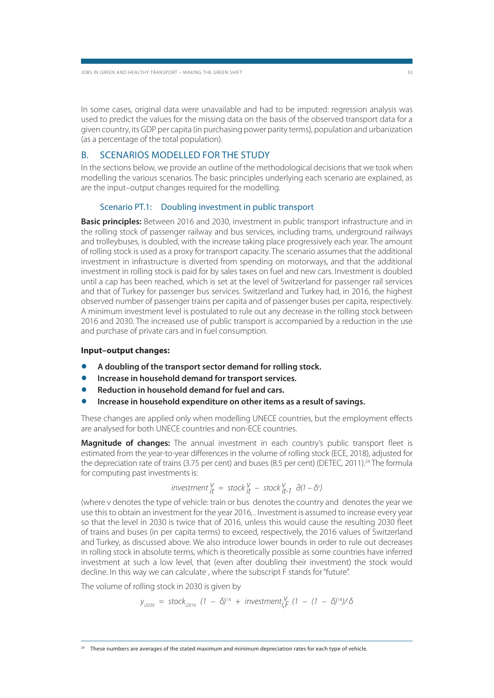In some cases, original data were unavailable and had to be imputed: regression analysis was used to predict the values for the missing data on the basis of the observed transport data for a given country, its GDP per capita (in purchasing power parity terms), population and urbanization (as a percentage of the total population).

#### B. SCENARIOS MODELLED FOR THE STUDY

In the sections below, we provide an outline of the methodological decisions that we took when modelling the various scenarios. The basic principles underlying each scenario are explained, as are the input–output changes required for the modelling.

#### Scenario PT.1: Doubling investment in public transport

**Basic principles:** Between 2016 and 2030, investment in public transport infrastructure and in the rolling stock of passenger railway and bus services, including trams, underground railways and trolleybuses, is doubled, with the increase taking place progressively each year. The amount of rolling stock is used as a proxy for transport capacity. The scenario assumes that the additional investment in infrastructure is diverted from spending on motorways, and that the additional investment in rolling stock is paid for by sales taxes on fuel and new cars. Investment is doubled until a cap has been reached, which is set at the level of Switzerland for passenger rail services and that of Turkey for passenger bus services. Switzerland and Turkey had, in 2016, the highest observed number of passenger trains per capita and of passenger buses per capita, respectively. A minimum investment level is postulated to rule out any decrease in the rolling stock between 2016 and 2030. The increased use of public transport is accompanied by a reduction in the use and purchase of private cars and in fuel consumption.

#### **Input–output changes:**

- **A doubling of the transport sector demand for rolling stock.**
- **Increase in household demand for transport services.** Increase in household demand for transport services.<br>Reduction in household demand for fuel and cars.
- 
- **Increase in household expenditure on other items as a result of savings.**

These changes are applied only when modelling UNECE countries, but the employment effects are analysed for both UNECE countries and non-ECE countries.

**Magnitude of changes:** The annual investment in each country's public transport fleet is estimated from the year-to-year differences in the volume of rolling stock (ECE, 2018), adjusted for the depreciation rate of trains (3.75 per cent) and buses (8.5 per cent) (DETEC, 2011).<sup>24</sup> The formula for computing past investments is:

investment it v = stock it v – stock v it-1 ∂(1 – δv )

(where v denotes the type of vehicle: train or bus denotes the country and denotes the year we use this to obtain an investment for the year 2016, . Investment is assumed to increase every year so that the level in 2030 is twice that of 2016, unless this would cause the resulting 2030 fleet of trains and buses (in per capita terms) to exceed, respectively, the 2016 values of Switzerland and Turkey, as discussed above. We also introduce lower bounds in order to rule out decreases in rolling stock in absolute terms, which is theoretically possible as some countries have inferred investment at such a low level, that (even after doubling their investment) the stock would decline. In this way we can calculate , where the subscript F stands for "future".

The volume of rolling stock in 2030 is given by

$$
y_{i2030}
$$
 = stock<sub>i2016</sub> (1 -  $\delta$ )<sup>14</sup> + investment<sub>i</sub><sup>V</sup><sub>i</sub> (1 - (1 -  $\delta$ )<sup>14</sup>)/ $\delta$ 

These numbers are averages of the stated maximum and minimum depreciation rates for each type of vehicle.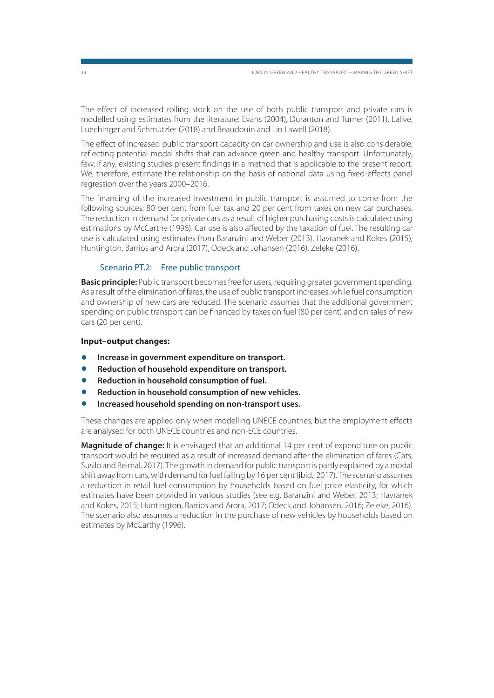The effect of increased rolling stock on the use of both public transport and private cars is modelled using estimates from the literature: Evans (2004), Duranton and Turner (2011), Lalive, Luechinger and Schmutzler (2018) and Beaudouin and Lin Lawell (2018).

The effect of increased public transport capacity on car ownership and use is also considerable, reflecting potential modal shifts that can advance green and healthy transport. Unfortunately, few, if any, existing studies present findings in a method that is applicable to the present report. We, therefore, estimate the relationship on the basis of national data using fixed-effects panel regression over the years 2000–2016.

The financing of the increased investment in public transport is assumed to come from the following sources: 80 per cent from fuel tax and 20 per cent from taxes on new car purchases. The reduction in demand for private cars as a result of higher purchasing costs is calculated using estimations by McCarthy (1996). Car use is also affected by the taxation of fuel. The resulting car use is calculated using estimates from Baranzini and Weber (2013), Havranek and Kokes (2015), Huntington, Barrios and Arora (2017), Odeck and Johansen (2016), Zeleke (2016).

#### Scenario PT.2: Free public transport

**Basic principle:** Public transport becomes free for users, requiring greater government spending. As a result of the elimination of fares, the use of public transport increases, while fuel consumption and ownership of new cars are reduced. The scenario assumes that the additional government spending on public transport can be financed by taxes on fuel (80 per cent) and on sales of new cars (20 per cent).

#### **Input–output changes:**

- **Increase in government expenditure on transport.**
- **•** Increase in government expenditure on transport.<br>• Reduction of household expenditure on transport. Reduction of household expenditure on transport.<br>Reduction in household consumption of fuel.
- 
- **Reduction in household consumption of new vehicles.**
- **Increased household spending on non-transport uses.**

These changes are applied only when modelling UNECE countries, but the employment effects are analysed for both UNECE countries and non-ECE countries.

**Magnitude of change:** It is envisaged that an additional 14 per cent of expenditure on public transport would be required as a result of increased demand after the elimination of fares (Cats, Susilo and Reimal, 2017). The growth in demand for public transport is partly explained by a modal shift away from cars, with demand for fuel falling by 16 per cent (ibid., 2017). The scenario assumes a reduction in retail fuel consumption by households based on fuel price elasticity, for which estimates have been provided in various studies (see e.g. Baranzini and Weber, 2013; Havranek and Kokes, 2015; Huntington, Barrios and Arora, 2017; Odeck and Johansen, 2016; Zeleke, 2016). The scenario also assumes a reduction in the purchase of new vehicles by households based on estimates by McCarthy (1996).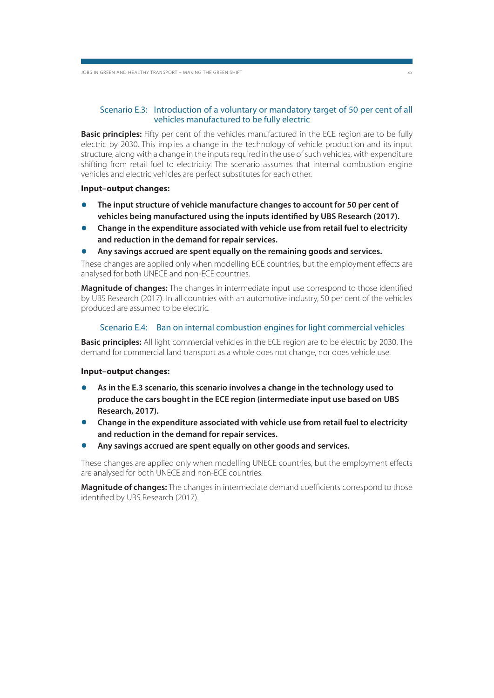#### Scenario E.3: Introduction of a voluntary or mandatory target of 50 per cent of all vehicles manufactured to be fully electric

**Basic principles:** Fifty per cent of the vehicles manufactured in the ECE region are to be fully electric by 2030. This implies a change in the technology of vehicle production and its input structure, along with a change in the inputs required in the use of such vehicles, with expenditure shifting from retail fuel to electricity. The scenario assumes that internal combustion engine vehicles and electric vehicles are perfect substitutes for each other.

#### **Input–output changes:**

- **The input structure of vehicle manufacture changes to account for 50 per cent of vehicles being manufactured using the inputs identified by UBS Research (2017).**
- **Change in the expenditure associated with vehicle use from retail fuel to electricity and reduction in the demand for repair services.**
- **Any savings accrued are spent equally on the remaining goods and services.**

These changes are applied only when modelling ECE countries, but the employment effects are analysed for both UNECE and non-ECE countries.

**Magnitude of changes:** The changes in intermediate input use correspond to those identified by UBS Research (2017). In all countries with an automotive industry, 50 per cent of the vehicles produced are assumed to be electric.

#### Scenario E.4: Ban on internal combustion engines for light commercial vehicles

**Basic principles:** All light commercial vehicles in the ECE region are to be electric by 2030. The demand for commercial land transport as a whole does not change, nor does vehicle use.

#### **Input–output changes:**

- **As in the E.3 scenario, this scenario involves a change in the technology used to produce the cars bought in the ECE region (intermediate input use based on UBS Research, 2017).**
- **Change in the expenditure associated with vehicle use from retail fuel to electricity and reduction in the demand for repair services.**
- **Any savings accrued are spent equally on other goods and services.**

These changes are applied only when modelling UNECE countries, but the employment effects are analysed for both UNECE and non-ECE countries.

**Magnitude of changes:** The changes in intermediate demand coefficients correspond to those identified by UBS Research (2017).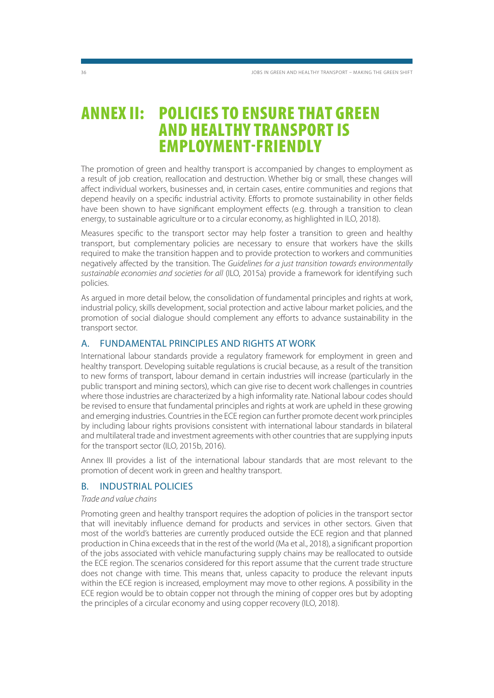### **ANNEX II: POLICIES TO ENSURE THAT GREEN AND HEALTHY TRANSPORT IS EMPLOYMENT-FRIENDLY**

The promotion of green and healthy transport is accompanied by changes to employment as a result of job creation, reallocation and destruction. Whether big or small, these changes will affect individual workers, businesses and, in certain cases, entire communities and regions that depend heavily on a specific industrial activity. Efforts to promote sustainability in other fields have been shown to have significant employment effects (e.g. through a transition to clean energy, to sustainable agriculture or to a circular economy, as highlighted in ILO, 2018).

Measures specific to the transport sector may help foster a transition to green and healthy transport, but complementary policies are necessary to ensure that workers have the skills required to make the transition happen and to provide protection to workers and communities negatively affected by the transition. The Guidelines for a just transition towards environmentally sustainable economies and societies for all (ILO, 2015a) provide a framework for identifying such policies.

As argued in more detail below, the consolidation of fundamental principles and rights at work, industrial policy, skills development, social protection and active labour market policies, and the promotion of social dialogue should complement any efforts to advance sustainability in the transport sector.

#### A. FUNDAMENTAL PRINCIPLES AND RIGHTS AT WORK

International labour standards provide a regulatory framework for employment in green and healthy transport. Developing suitable regulations is crucial because, as a result of the transition to new forms of transport, labour demand in certain industries will increase (particularly in the public transport and mining sectors), which can give rise to decent work challenges in countries where those industries are characterized by a high informality rate. National labour codes should be revised to ensure that fundamental principles and rights at work are upheld in these growing and emerging industries. Countries in the ECE region can further promote decent work principles by including labour rights provisions consistent with international labour standards in bilateral and multilateral trade and investment agreements with other countries that are supplying inputs for the transport sector (ILO, 2015b, 2016).

Annex III provides a list of the international labour standards that are most relevant to the promotion of decent work in green and healthy transport.

### B. INDUSTRIAL POLICIES

#### Trade and value chains

Promoting green and healthy transport requires the adoption of policies in the transport sector that will inevitably influence demand for products and services in other sectors. Given that most of the world's batteries are currently produced outside the ECE region and that planned production in China exceeds that in the rest of the world (Ma et al., 2018), a significant proportion of the jobs associated with vehicle manufacturing supply chains may be reallocated to outside the ECE region. The scenarios considered for this report assume that the current trade structure does not change with time. This means that, unless capacity to produce the relevant inputs within the ECE region is increased, employment may move to other regions. A possibility in the ECE region would be to obtain copper not through the mining of copper ores but by adopting the principles of a circular economy and using copper recovery (ILO, 2018).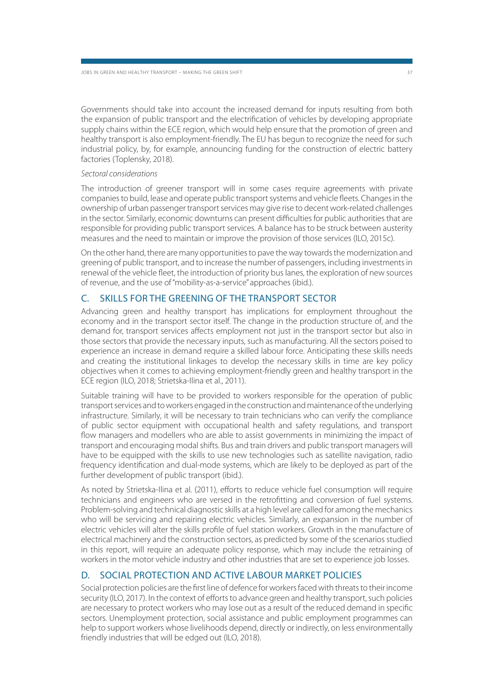Governments should take into account the increased demand for inputs resulting from both the expansion of public transport and the electrification of vehicles by developing appropriate supply chains within the ECE region, which would help ensure that the promotion of green and healthy transport is also employment-friendly. The EU has begun to recognize the need for such industrial policy, by, for example, announcing funding for the construction of electric battery factories (Toplensky, 2018).

#### Sectoral considerations

The introduction of greener transport will in some cases require agreements with private companies to build, lease and operate public transport systems and vehicle fleets. Changes in the ownership of urban passenger transport services may give rise to decent work-related challenges in the sector. Similarly, economic downturns can present difficulties for public authorities that are responsible for providing public transport services. A balance has to be struck between austerity measures and the need to maintain or improve the provision of those services (ILO, 2015c).

On the other hand, there are many opportunities to pave the way towards the modernization and greening of public transport, and to increase the number of passengers, including investments in renewal of the vehicle fleet, the introduction of priority bus lanes, the exploration of new sources of revenue, and the use of "mobility-as-a-service" approaches (ibid.).

### C. SKILLS FOR THE GREENING OF THE TRANSPORT SECTOR

Advancing green and healthy transport has implications for employment throughout the economy and in the transport sector itself. The change in the production structure of, and the demand for, transport services affects employment not just in the transport sector but also in those sectors that provide the necessary inputs, such as manufacturing. All the sectors poised to experience an increase in demand require a skilled labour force. Anticipating these skills needs and creating the institutional linkages to develop the necessary skills in time are key policy objectives when it comes to achieving employment-friendly green and healthy transport in the ECE region (ILO, 2018; Strietska-Ilina et al., 2011).

Suitable training will have to be provided to workers responsible for the operation of public transport services and to workers engaged in the construction and maintenance of the underlying infrastructure. Similarly, it will be necessary to train technicians who can verify the compliance of public sector equipment with occupational health and safety regulations, and transport flow managers and modellers who are able to assist governments in minimizing the impact of transport and encouraging modal shifts. Bus and train drivers and public transport managers will have to be equipped with the skills to use new technologies such as satellite navigation, radio frequency identification and dual-mode systems, which are likely to be deployed as part of the further development of public transport (ibid.).

As noted by Strietska-Ilina et al. (2011), efforts to reduce vehicle fuel consumption will require technicians and engineers who are versed in the retrofitting and conversion of fuel systems. Problem-solving and technical diagnostic skills at a high level are called for among the mechanics who will be servicing and repairing electric vehicles. Similarly, an expansion in the number of electric vehicles will alter the skills profile of fuel station workers. Growth in the manufacture of electrical machinery and the construction sectors, as predicted by some of the scenarios studied in this report, will require an adequate policy response, which may include the retraining of workers in the motor vehicle industry and other industries that are set to experience job losses.

### D. SOCIAL PROTECTION AND ACTIVE LABOUR MARKET POLICIES

Social protection policies are the first line of defence for workers faced with threats to their income security (ILO, 2017). In the context of efforts to advance green and healthy transport, such policies are necessary to protect workers who may lose out as a result of the reduced demand in specific sectors. Unemployment protection, social assistance and public employment programmes can help to support workers whose livelihoods depend, directly or indirectly, on less environmentally friendly industries that will be edged out (ILO, 2018).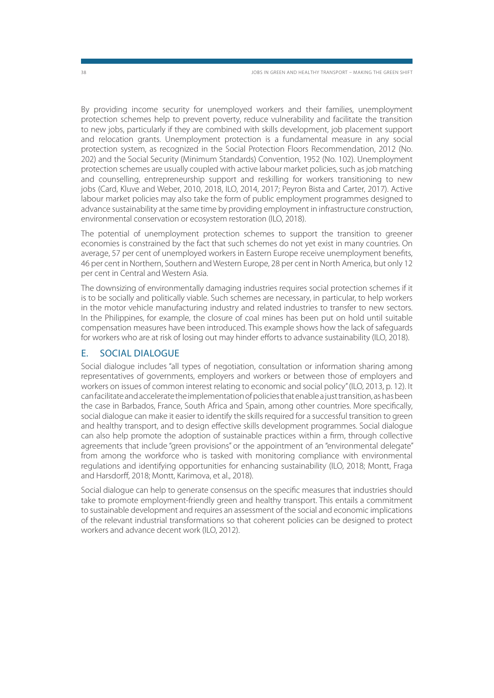By providing income security for unemployed workers and their families, unemployment protection schemes help to prevent poverty, reduce vulnerability and facilitate the transition to new jobs, particularly if they are combined with skills development, job placement support and relocation grants. Unemployment protection is a fundamental measure in any social protection system, as recognized in the Social Protection Floors Recommendation, 2012 (No. 202) and the Social Security (Minimum Standards) Convention, 1952 (No. 102). Unemployment protection schemes are usually coupled with active labour market policies, such as job matching and counselling, entrepreneurship support and reskilling for workers transitioning to new jobs (Card, Kluve and Weber, 2010, 2018, ILO, 2014, 2017; Peyron Bista and Carter, 2017). Active labour market policies may also take the form of public employment programmes designed to advance sustainability at the same time by providing employment in infrastructure construction, environmental conservation or ecosystem restoration (ILO, 2018).

The potential of unemployment protection schemes to support the transition to greener economies is constrained by the fact that such schemes do not yet exist in many countries. On average, 57 per cent of unemployed workers in Eastern Europe receive unemployment benefits, 46 per cent in Northern, Southern and Western Europe, 28 per cent in North America, but only 12 per cent in Central and Western Asia.

The downsizing of environmentally damaging industries requires social protection schemes if it is to be socially and politically viable. Such schemes are necessary, in particular, to help workers in the motor vehicle manufacturing industry and related industries to transfer to new sectors. In the Philippines, for example, the closure of coal mines has been put on hold until suitable compensation measures have been introduced. This example shows how the lack of safeguards for workers who are at risk of losing out may hinder efforts to advance sustainability (ILO, 2018).

#### E. SOCIAL DIALOGUE

Social dialogue includes "all types of negotiation, consultation or information sharing among representatives of governments, employers and workers or between those of employers and workers on issues of common interest relating to economic and social policy" (ILO, 2013, p. 12). It can facilitate and accelerate the implementation of policies that enable a just transition, as has been the case in Barbados, France, South Africa and Spain, among other countries. More specifically, social dialogue can make it easier to identify the skills required for a successful transition to green and healthy transport, and to design effective skills development programmes. Social dialogue can also help promote the adoption of sustainable practices within a firm, through collective agreements that include "green provisions" or the appointment of an "environmental delegate" from among the workforce who is tasked with monitoring compliance with environmental regulations and identifying opportunities for enhancing sustainability (ILO, 2018; Montt, Fraga and Harsdorff, 2018; Montt, Karimova, et al., 2018).

Social dialogue can help to generate consensus on the specific measures that industries should take to promote employment-friendly green and healthy transport. This entails a commitment to sustainable development and requires an assessment of the social and economic implications of the relevant industrial transformations so that coherent policies can be designed to protect workers and advance decent work (ILO, 2012).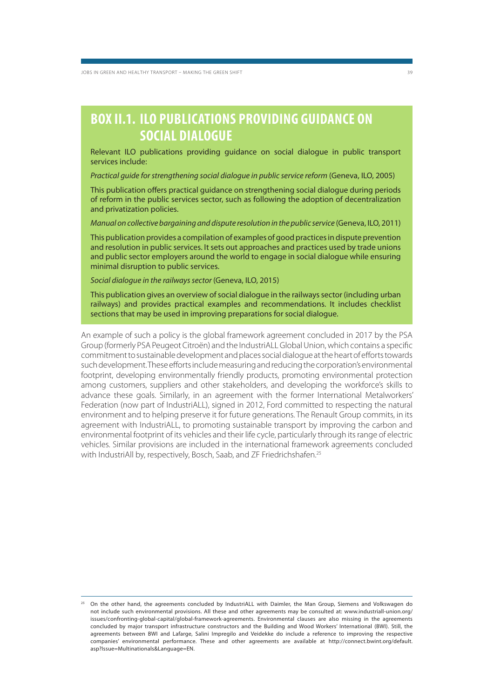JOBS IN GREEN AND HEALTHY TRANSPORT – MAKING THE GREEN SHIFT 39

### **BOX II.1. ILO PUBLICATIONS PROVIDING GUIDANCE ON SOCIAL DIALOGUE**

Relevant ILO publications providing guidance on social dialogue in public transport services include:

Practical guide for strengthening social dialogue in public service reform (Geneva, ILO, 2005)

This publication offers practical guidance on strengthening social dialogue during periods of reform in the public services sector, such as following the adoption of decentralization and privatization policies.

Manual on collective bargaining and dispute resolution in the public service (Geneva, ILO, 2011)

This publication provides a compilation of examples of good practices in dispute prevention and resolution in public services. It sets out approaches and practices used by trade unions and public sector employers around the world to engage in social dialogue while ensuring minimal disruption to public services.

Social dialogue in the railways sector (Geneva, ILO, 2015)

This publication gives an overview of social dialogue in the railways sector (including urban railways) and provides practical examples and recommendations. It includes checklist sections that may be used in improving preparations for social dialogue.

An example of such a policy is the global framework agreement concluded in 2017 by the PSA Group (formerly PSA Peugeot Citroën) and the IndustriALL Global Union, which contains a specific commitment to sustainable development and places social dialogue at the heart of efforts towards such development. These efforts include measuring and reducing the corporation's environmental footprint, developing environmentally friendly products, promoting environmental protection among customers, suppliers and other stakeholders, and developing the workforce's skills to advance these goals. Similarly, in an agreement with the former International Metalworkers' Federation (now part of IndustriALL), signed in 2012, Ford committed to respecting the natural environment and to helping preserve it for future generations. The Renault Group commits, in its agreement with IndustriALL, to promoting sustainable transport by improving the carbon and environmental footprint of its vehicles and their life cycle, particularly through its range of electric vehicles. Similar provisions are included in the international framework agreements concluded with IndustriAll by, respectively, Bosch, Saab, and ZF Friedrichshafen.<sup>25</sup>

<sup>25</sup> On the other hand, the agreements concluded by IndustriALL with Daimler, the Man Group, Siemens and Volkswagen do not include such environmental provisions. All these and other agreements may be consulted at: www.industriall-union.org/ issues/confronting-global-capital/global-framework-agreements. Environmental clauses are also missing in the agreements concluded by major transport infrastructure constructors and the Building and Wood Workers' International (BWI). Still, the agreements between BWI and Lafarge, Salini Impregilo and Veidekke do include a reference to improving the respective companies' environmental performance. These and other agreements are available at http://connect.bwint.org/default. asp?Issue=Multinationals&Language=EN.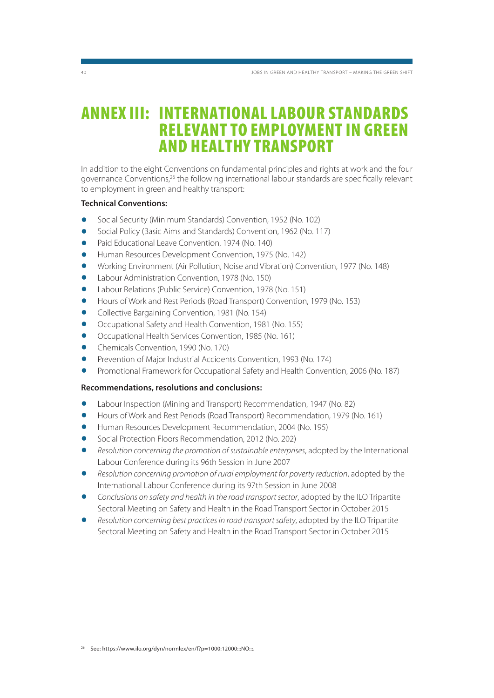### **ANNEX III: INTERNATIONAL LABOUR STANDARDS RELEVANT TO EMPLOYMENT IN GREEN AND HEALTHY TRANSPORT**

In addition to the eight Conventions on fundamental principles and rights at work and the four governance Conventions,<sup>26</sup> the following international labour standards are specifically relevant to employment in green and healthy transport:

#### **Technical Conventions:**

- Social Security (Minimum Standards) Convention, 1952 (No. 102)
- Social Policy (Basic Aims and Standards) Convention, 1962 (No. 117)
- Paid Educational Leave Convention, 1974 (No. 140)
- Human Resources Development Convention, 1975 (No. 142)
- Working Environment (Air Pollution, Noise and Vibration) Convention, 1977 (No. 148)
- Labour Administration Convention, 1978 (No. 150)
- Labour Relations (Public Service) Convention, 1978 (No. 151)
- Hours of Work and Rest Periods (Road Transport) Convention, 1979 (No. 153)
- Collective Bargaining Convention, 1981 (No. 154)
- Occupational Safety and Health Convention, 1981 (No. 155)
- Occupational Health Services Convention, 1985 (No. 161)
- Chemicals Convention, 1990 (No. 170)
- Prevention of Major Industrial Accidents Convention, 1993 (No. 174)
- Promotional Framework for Occupational Safety and Health Convention, 2006 (No. 187)

#### **Recommendations, resolutions and conclusions:**

- Labour Inspection (Mining and Transport) Recommendation, 1947 (No. 82)
- Hours of Work and Rest Periods (Road Transport) Recommendation, 1979 (No. 161)
- Human Resources Development Recommendation, 2004 (No. 195)
- Social Protection Floors Recommendation, 2012 (No. 202)
- Resolution concerning the promotion of sustainable enterprises, adopted by the International Labour Conference during its 96th Session in June 2007
- Resolution concerning promotion of rural employment for poverty reduction, adopted by the International Labour Conference during its 97th Session in June 2008
- Conclusions on safety and health in the road transport sector, adopted by the ILO Tripartite Sectoral Meeting on Safety and Health in the Road Transport Sector in October 2015
- Resolution concerning best practices in road transport safety, adopted by the ILO Tripartite Sectoral Meeting on Safety and Health in the Road Transport Sector in October 2015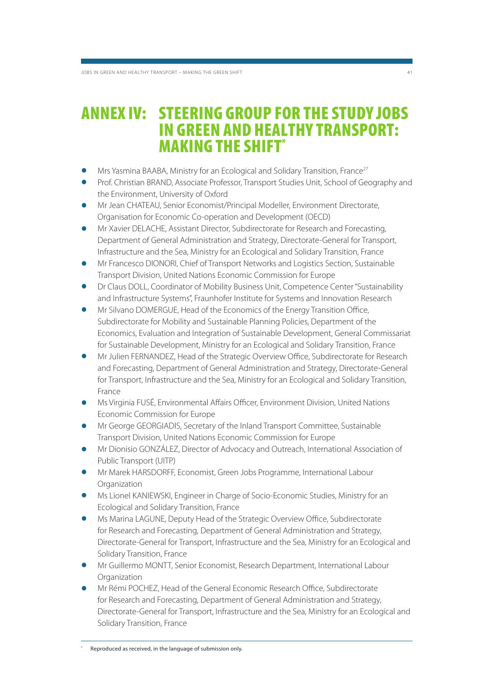### **ANNEX IV: STEERING GROUP FOR THE STUDY JOBS IN GREEN AND HEALTHY TRANSPORT: MAKING THE SHIFT\***

- **Mrs Yasmina BAABA, Ministry for an Ecological and Solidary Transition, France<sup>27</sup>**
- Prof. Christian BRAND, Associate Professor, Transport Studies Unit, School of Geography and the Environment, University of Oxford
- Mr Jean CHATEAU, Senior Economist/Principal Modeller, Environment Directorate, Organisation for Economic Co-operation and Development (OECD)
- Mr Xavier DELACHE, Assistant Director, Subdirectorate for Research and Forecasting, Department of General Administration and Strategy, Directorate-General for Transport, Infrastructure and the Sea, Ministry for an Ecological and Solidary Transition, France
- Mr Francesco DIONORI, Chief of Transport Networks and Logistics Section, Sustainable Transport Division, United Nations Economic Commission for Europe
- Dr Claus DOLL, Coordinator of Mobility Business Unit, Competence Center "Sustainability and Infrastructure Systems", Fraunhofer Institute for Systems and Innovation Research
- Mr Silvano DOMERGUE, Head of the Economics of the Energy Transition Office, Subdirectorate for Mobility and Sustainable Planning Policies, Department of the Economics, Evaluation and Integration of Sustainable Development, General Commissariat for Sustainable Development, Ministry for an Ecological and Solidary Transition, France
- Mr Julien FERNANDEZ, Head of the Strategic Overview Office, Subdirectorate for Research and Forecasting, Department of General Administration and Strategy, Directorate-General for Transport, Infrastructure and the Sea, Ministry for an Ecological and Solidary Transition, France
- Ms Virginia FUSÉ, Environmental Affairs Officer, Environment Division, United Nations Economic Commission for Europe
- Mr George GEORGIADIS, Secretary of the Inland Transport Committee, Sustainable Transport Division, United Nations Economic Commission for Europe
- Mr Dionisio GONZÁLEZ, Director of Advocacy and Outreach, International Association of Public Transport (UITP)
- Mr Marek HARSDORFF, Economist, Green Jobs Programme, International Labour Organization
- Ms Lionel KANIEWSKI, Engineer in Charge of Socio-Economic Studies, Ministry for an Ecological and Solidary Transition, France
- Ms Marina LAGUNE, Deputy Head of the Strategic Overview Office, Subdirectorate for Research and Forecasting, Department of General Administration and Strategy, Directorate-General for Transport, Infrastructure and the Sea, Ministry for an Ecological and Solidary Transition, France
- Mr Guillermo MONTT, Senior Economist, Research Department, International Labour **Organization**
- Mr Rémi POCHEZ, Head of the General Economic Research Office, Subdirectorate for Research and Forecasting, Department of General Administration and Strategy, Directorate-General for Transport, Infrastructure and the Sea, Ministry for an Ecological and Solidary Transition, France

Reproduced as received, in the language of submission only.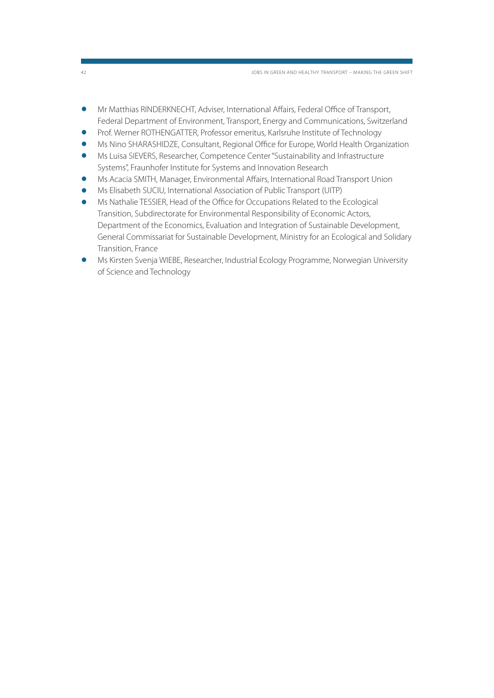42 JOBS IN GREEN AND HEALTHY TRANSPORT – MAKING THE GREEN SHIFT

- Mr Matthias RINDERKNECHT, Adviser, International Affairs, Federal Office of Transport, Federal Department of Environment, Transport, Energy and Communications, Switzerland
- Prof. Werner ROTHENGATTER, Professor emeritus, Karlsruhe Institute of Technology
- Ms Nino SHARASHIDZE, Consultant, Regional Office for Europe, World Health Organization
- Ms Luisa SIEVERS, Researcher, Competence Center "Sustainability and Infrastructure Systems", Fraunhofer Institute for Systems and Innovation Research
- Ms Acacia SMITH, Manager, Environmental Affairs, International Road Transport Union
- Ms Elisabeth SUCIU, International Association of Public Transport (UITP)
- Ms Nathalie TESSIER, Head of the Office for Occupations Related to the Ecological Transition, Subdirectorate for Environmental Responsibility of Economic Actors, Department of the Economics, Evaluation and Integration of Sustainable Development, General Commissariat for Sustainable Development, Ministry for an Ecological and Solidary Transition, France
- Ms Kirsten Svenja WIEBE, Researcher, Industrial Ecology Programme, Norwegian University of Science and Technology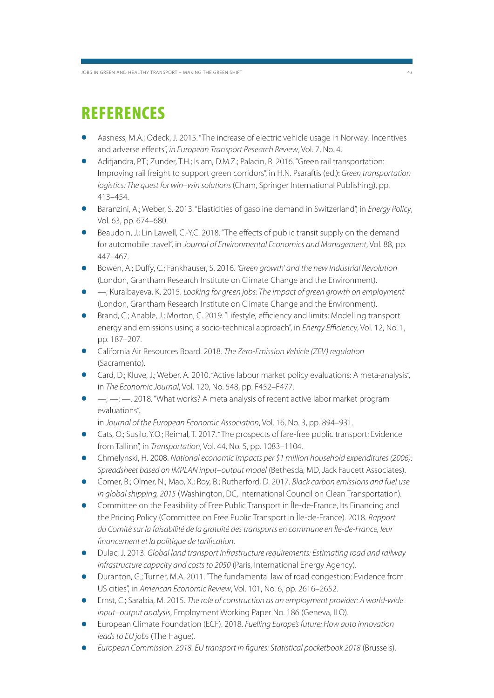## **REFERENCES**

- Aasness, M.A.; Odeck, J. 2015. "The increase of electric vehicle usage in Norway: Incentives and adverse effects", in European Transport Research Review, Vol. 7, No. 4.
- Aditjandra, P.T.; Zunder, T.H.; Islam, D.M.Z.; Palacin, R. 2016. "Green rail transportation: Improving rail freight to support green corridors", in H.N. Psaraftis (ed.): Green transportation logistics: The quest for win–win solutions (Cham, Springer International Publishing), pp. 413–454.
- Baranzini, A.; Weber, S. 2013. "Elasticities of gasoline demand in Switzerland", in Energy Policy, Vol. 63, pp. 674–680.
- Beaudoin, J.; Lin Lawell, C.-Y.C. 2018. "The effects of public transit supply on the demand for automobile travel", in Journal of Environmental Economics and Management, Vol. 88, pp. 447–467.
- Bowen, A.; Duffy, C.; Fankhauser, S. 2016. 'Green growth' and the new Industrial Revolution (London, Grantham Research Institute on Climate Change and the Environment).
- —; Kuralbayeva, K. 2015. Looking for green jobs: The impact of green growth on employment (London, Grantham Research Institute on Climate Change and the Environment).
- Brand, C.; Anable, J.; Morton, C. 2019. "Lifestyle, efficiency and limits: Modelling transport energy and emissions using a socio-technical approach", in *Energy Efficiency*, Vol. 12, No. 1, pp. 187–207.
- California Air Resources Board. 2018. The Zero-Emission Vehicle (ZEV) regulation (Sacramento).
- Card, D.; Kluve, J.; Weber, A. 2010. "Active labour market policy evaluations: A meta-analysis", in The Economic Journal, Vol. 120, No. 548, pp. F452–F477.
- $-$ ;  $-$ ;  $-$ , 2018. "What works? A meta analysis of recent active labor market program evaluations",

in Journal of the European Economic Association, Vol. 16, No. 3, pp. 894–931.

- Cats, O.; Susilo, Y.O.; Reimal, T. 2017. "The prospects of fare-free public transport: Evidence from Tallinn", in Transportation, Vol. 44, No. 5, pp. 1083–1104.
- Chmelynski, H. 2008. National economic impacts per \$1 million household expenditures (2006): Spreadsheet based on IMPLAN input–output model (Bethesda, MD, Jack Faucett Associates).
- Comer, B.; Olmer, N.; Mao, X.; Roy, B.; Rutherford, D. 2017. Black carbon emissions and fuel use in global shipping, 2015 (Washington, DC, International Council on Clean Transportation).
- Committee on the Feasibility of Free Public Transport in Île-de-France, Its Financing and the Pricing Policy (Committee on Free Public Transport in Île-de-France). 2018. Rapport du Comité sur la faisabilité de la gratuité des transports en commune en Île-de-France, leur financement et la politique de tarification.
- Dulac, J. 2013. Global land transport infrastructure requirements: Estimating road and railway infrastructure capacity and costs to 2050 (Paris, International Energy Agency).
- Duranton, G.; Turner, M.A. 2011. "The fundamental law of road congestion: Evidence from US cities", in American Economic Review, Vol. 101, No. 6, pp. 2616–2652.
- Ernst, C.; Sarabia, M. 2015. The role of construction as an employment provider: A world-wide input–output analysis, Employment Working Paper No. 186 (Geneva, ILO).
- European Climate Foundation (ECF). 2018. Fuelling Europe's future: How auto innovation leads to EU jobs (The Hague).
- European Commission. 2018. EU transport in figures: Statistical pocketbook 2018 (Brussels).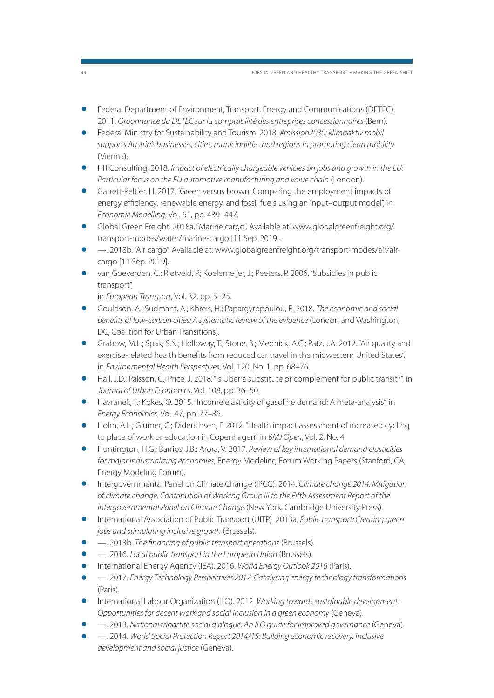- Federal Department of Environment, Transport, Energy and Communications (DETEC). 2011. Ordonnance du DETEC sur la comptabilité des entreprises concessionnaires (Bern).
- Federal Ministry for Sustainability and Tourism. 2018. #mission2030: klimaaktiv mobil supports Austria's businesses, cities, municipalities and regions in promoting clean mobility (Vienna).
- FTI Consulting. 2018. Impact of electrically chargeable vehicles on jobs and growth in the EU: Particular focus on the EU automotive manufacturing and value chain (London).
- Garrett-Peltier, H. 2017. "Green versus brown: Comparing the employment impacts of energy efficiency, renewable energy, and fossil fuels using an input–output model", in Economic Modelling, Vol. 61, pp. 439–447.
- Global Green Freight. 2018a. "Marine cargo". Available at: www.globalgreenfreight.org/ transport-modes/water/marine-cargo [11 Sep. 2019].
- —. 2018b. "Air cargo". Available at: www.globalgreenfreight.org/transport-modes/air/aircargo [11 Sep. 2019].
- van Goeverden, C.; Rietveld, P.; Koelemeijer, J.; Peeters, P. 2006. "Subsidies in public transport",

in European Transport, Vol. 32, pp. 5–25.

- Gouldson, A.; Sudmant, A.; Khreis, H.; Papargyropoulou, E. 2018. The economic and social benefits of low-carbon cities: A systematic review of the evidence (London and Washington, DC, Coalition for Urban Transitions).
- Grabow, M.L.; Spak, S.N.; Holloway, T.; Stone, B.; Mednick, A.C.; Patz, J.A. 2012. "Air quality and exercise-related health benefits from reduced car travel in the midwestern United States", in Environmental Health Perspectives, Vol. 120, No. 1, pp. 68–76.
- Hall, J.D.; Palsson, C.; Price, J. 2018. "Is Uber a substitute or complement for public transit?", in Journal of Urban Economics, Vol. 108, pp. 36–50.
- Havranek, T.; Kokes, O. 2015. "Income elasticity of gasoline demand: A meta-analysis", in Energy Economics, Vol. 47, pp. 77–86.
- Holm, A.L.; Glümer, C.; Diderichsen, F. 2012. "Health impact assessment of increased cycling to place of work or education in Copenhagen", in BMJ Open, Vol. 2, No. 4.
- Huntington, H.G.; Barrios, J.B.; Arora, V. 2017. Review of key international demand elasticities for major industrializing economies, Energy Modeling Forum Working Papers (Stanford, CA, Energy Modeling Forum).
- Intergovernmental Panel on Climate Change (IPCC). 2014. Climate change 2014: Mitigation of climate change. Contribution of Working Group III to the Fifth Assessment Report of the Intergovernmental Panel on Climate Change (New York, Cambridge University Press).
- International Association of Public Transport (UITP). 2013a. Public transport: Creating green jobs and stimulating inclusive growth (Brussels).
- —. 2013b. The financing of public transport operations (Brussels).
- —. 2016. Local public transport in the European Union (Brussels).
- International Energy Agency (IEA). 2016. World Energy Outlook 2016 (Paris).
- —. 2017. Energy Technology Perspectives 2017: Catalysing energy technology transformations (Paris).
- International Labour Organization (ILO). 2012. Working towards sustainable development: Opportunities for decent work and social inclusion in a green economy (Geneva).
- —. 2013. National tripartite social dialogue: An ILO guide for improved governance (Geneva).
- —. 2014. World Social Protection Report 2014/15: Building economic recovery, inclusive development and social justice (Geneva).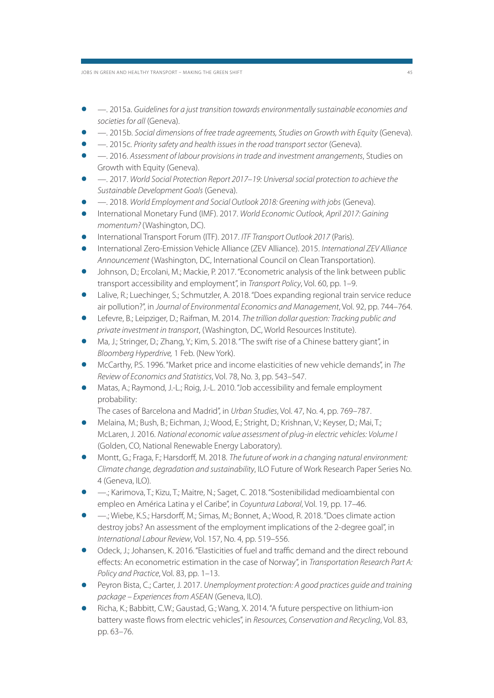JOBS IN GREEN AND HEALTHY TRANSPORT – MAKING THE GREEN SHIFT 45

- —. 2015a. Guidelines for a just transition towards environmentally sustainable economies and societies for all (Geneva).
- —. 2015b. Social dimensions of free trade agreements, Studies on Growth with Equity (Geneva).
- —. 2015c. Priority safety and health issues in the road transport sector (Geneva).
- —. 2016. Assessment of labour provisions in trade and investment arrangements, Studies on Growth with Equity (Geneva).
- —. 2017. World Social Protection Report 2017–19: Universal social protection to achieve the Sustainable Development Goals (Geneva).
- —. 2018. World Employment and Social Outlook 2018: Greening with jobs (Geneva).
- International Monetary Fund (IMF). 2017. World Economic Outlook, April 2017: Gaining momentum? (Washington, DC).
- International Transport Forum (ITF). 2017. ITF Transport Outlook 2017 (Paris).
- International Zero-Emission Vehicle Alliance (ZEV Alliance). 2015. International ZEV Alliance Announcement (Washington, DC, International Council on Clean Transportation).
- Johnson, D.; Ercolani, M.; Mackie, P. 2017. "Econometric analysis of the link between public transport accessibility and employment", in Transport Policy, Vol. 60, pp. 1–9.
- Lalive, R.; Luechinger, S.; Schmutzler, A. 2018. "Does expanding regional train service reduce air pollution?", in Journal of Environmental Economics and Management, Vol. 92, pp. 744–764.
- Lefevre, B.; Leipziger, D.; Raifman, M. 2014. The trillion dollar question: Tracking public and private investment in transport, (Washington, DC, World Resources Institute).
- Ma, J.; Stringer, D.; Zhang, Y.; Kim, S. 2018. "The swift rise of a Chinese battery giant", in Bloomberg Hyperdrive, 1 Feb. (New York).
- McCarthy, P.S. 1996. "Market price and income elasticities of new vehicle demands", in The Review of Economics and Statistics, Vol. 78, No. 3, pp. 543–547.
- Matas, A.; Raymond, J.-L.; Roig, J.-L. 2010. "Job accessibility and female employment probability:
	-
- The cases of Barcelona and Madrid", in Urban Studies, Vol. 47, No. 4, pp. 769–787. Melaina, M.; Bush, B.; Eichman, J.; Wood, E.; Stright, D.; Krishnan, V.; Keyser, D.; Mai, T.; McLaren, J. 2016. National economic value assessment of plug-in electric vehicles: Volume I (Golden, CO, National Renewable Energy Laboratory).
- Montt, G.; Fraga, F.; Harsdorff, M. 2018. The future of work in a changing natural environment: Climate change, degradation and sustainability, ILO Future of Work Research Paper Series No. 4 (Geneva, ILO).
- —.; Karimova, T.; Kizu, T.; Maitre, N.; Saget, C. 2018. "Sostenibilidad medioambiental con empleo en América Latina y el Caribe", in Coyuntura Laboral, Vol. 19, pp. 17–46.
- —.; Wiebe, K.S.; Harsdorff, M.; Simas, M.; Bonnet, A.; Wood, R. 2018. "Does climate action destroy jobs? An assessment of the employment implications of the 2-degree goal", in International Labour Review, Vol. 157, No. 4, pp. 519–556.
- Odeck, J.; Johansen, K. 2016. "Elasticities of fuel and traffic demand and the direct rebound effects: An econometric estimation in the case of Norway", in Transportation Research Part A: Policy and Practice, Vol. 83, pp. 1–13.
- Peyron Bista, C.; Carter, J. 2017. Unemployment protection: A good practices guide and training package – Experiences from ASEAN (Geneva, ILO).
- Richa, K.; Babbitt, C.W.; Gaustad, G.; Wang, X. 2014. "A future perspective on lithium-ion battery waste flows from electric vehicles", in Resources, Conservation and Recycling, Vol. 83, pp. 63–76.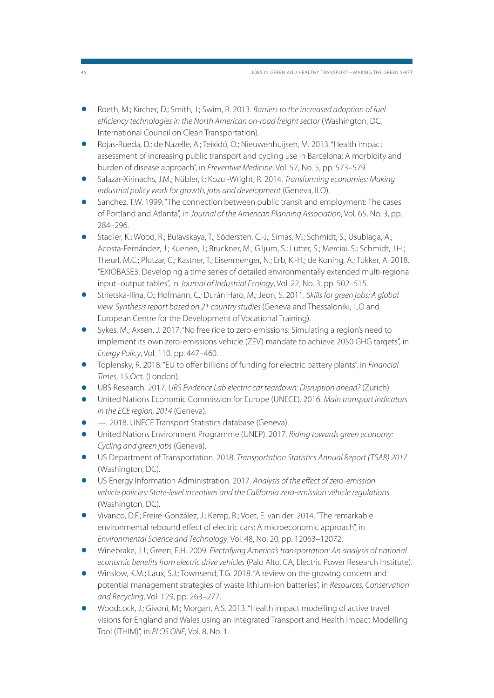- Roeth, M.; Kircher, D.; Smith, J.; Swim, R. 2013. Barriers to the increased adoption of fuel efficiency technologies in the North American on-road freight sector (Washington, DC, International Council on Clean Transportation).
- Rojas-Rueda, D.; de Nazelle, A.; Teixidó, O.; Nieuwenhuijsen, M. 2013. "Health impact assessment of increasing public transport and cycling use in Barcelona: A morbidity and burden of disease approach", in Preventive Medicine, Vol. 57, No. 5, pp. 573–579.
- Salazar-Xirinachs, J.M.; Nübler, I.; Kozul-Wright, R. 2014. Transforming economies: Making industrial policy work for growth, jobs and development (Geneva, ILO).
- Sanchez, T.W. 1999. "The connection between public transit and employment: The cases of Portland and Atlanta", in Journal of the American Planning Association, Vol. 65, No. 3, pp. 284–296.
- Stadler, K.; Wood, R.; Bulavskaya, T.; Södersten, C.-J.; Simas, M.; Schmidt, S.; Usubiaga, A.; Acosta-Fernández, J.; Kuenen, J.; Bruckner, M.; Giljum, S.; Lutter, S.; Merciai, S.; Schmidt, J.H.; Theurl, M.C.; Plutzar, C.; Kastner, T.; Eisenmenger, N.; Erb, K.-H.; de Koning, A.; Tukker, A. 2018. "EXIOBASE3: Developing a time series of detailed environmentally extended multi-regional input–output tables", in Journal of Industrial Ecology, Vol. 22, No. 3, pp. 502–515.
- Strietska-Ilina, O.; Hofmann, C.; Durán Haro, M.; Jeon, S. 2011. Skills for green jobs: A global view. Synthesis report based on 21 country studies (Geneva and Thessaloniki, ILO and European Centre for the Development of Vocational Training).
- Sykes, M.; Axsen, J. 2017. "No free ride to zero-emissions: Simulating a region's need to implement its own zero-emissions vehicle (ZEV) mandate to achieve 2050 GHG targets", in Energy Policy, Vol. 110, pp. 447–460.
- Toplensky, R. 2018. "EU to offer billions of funding for electric battery plants", in Financial Times, 15 Oct. (London).
- UBS Research. 2017. UBS Evidence Lab electric car teardown: Disruption ahead? (Zurich).
- United Nations Economic Commission for Europe (UNECE). 2016. Main transport indicators in the ECE region, 2014 (Geneva).
- —. 2018. UNECE Transport Statistics database (Geneva).
- United Nations Environment Programme (UNEP). 2017. Riding towards green economy: Cycling and green jobs (Geneva).
- US Department of Transportation. 2018. Transportation Statistics Annual Report (TSAR) 2017 (Washington, DC).
- US Energy Information Administration. 2017. Analysis of the effect of zero-emission vehicle policies: State-level incentives and the California zero-emission vehicle regulations (Washington, DC).
- Vivanco, D.F.; Freire-González, J.; Kemp, R.; Voet, E. van der. 2014. "The remarkable environmental rebound effect of electric cars: A microeconomic approach", in Environmental Science and Technology, Vol. 48, No. 20, pp. 12063–12072.
- Winebrake, J.J.; Green, E.H. 2009. Electrifying America's transportation: An analysis of national economic benefits from electric drive vehicles (Palo Alto, CA, Electric Power Research Institute).
- Winslow, K.M.; Laux, S.J.; Townsend, T.G. 2018. "A review on the growing concern and potential management strategies of waste lithium-ion batteries", in Resources, Conservation and Recycling, Vol. 129, pp. 263–277.
- Woodcock, J.; Givoni, M.; Morgan, A.S. 2013. "Health impact modelling of active travel visions for England and Wales using an Integrated Transport and Health Impact Modelling Tool (ITHIM)", in PLOS ONE, Vol. 8, No. 1.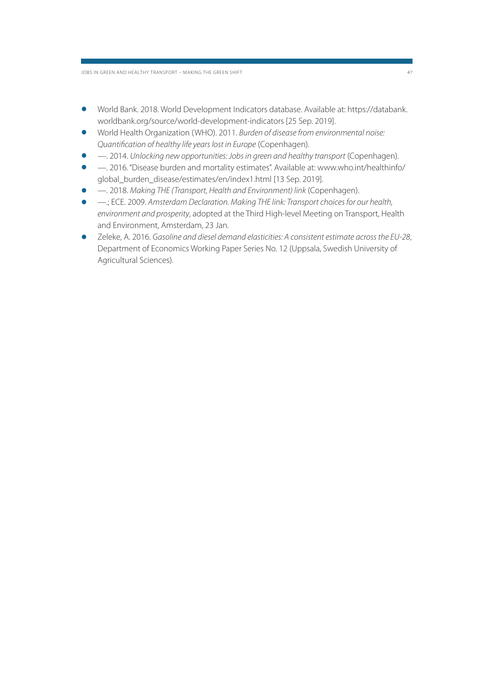- World Bank. 2018. World Development Indicators database. Available at: https://databank. worldbank.org/source/world-development-indicators [25 Sep. 2019].
- World Health Organization (WHO). 2011. Burden of disease from environmental noise: Quantification of healthy life years lost in Europe (Copenhagen).
- —. 2014. Unlocking new opportunities: Jobs in green and healthy transport (Copenhagen).
- —. 2016. "Disease burden and mortality estimates". Available at: www.who.int/healthinfo/ global burden disease/estimates/en/index1.html [13 Sep. 2019].
- —. 2018. Making THE (Transport, Health and Environment) link (Copenhagen).
- —.; ECE. 2009. Amsterdam Declaration. Making THE link: Transport choices for our health, environment and prosperity, adopted at the Third High-level Meeting on Transport, Health and Environment, Amsterdam, 23 Jan.
- Zeleke, A. 2016. Gasoline and diesel demand elasticities: A consistent estimate across the EU-28, Department of Economics Working Paper Series No. 12 (Uppsala, Swedish University of Agricultural Sciences).